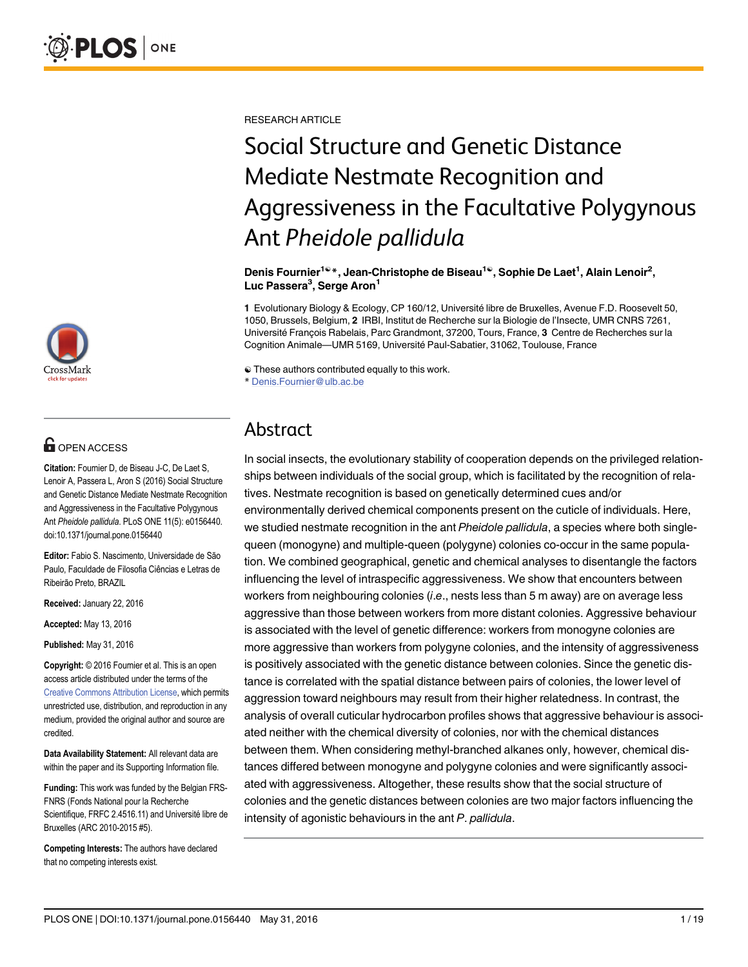

# $\mathbf{G}$  open access

Citation: Fournier D, de Biseau J-C, De Laet S, Lenoir A, Passera L, Aron S (2016) Social Structure and Genetic Distance Mediate Nestmate Recognition and Aggressiveness in the Facultative Polygynous Ant Pheidole pallidula. PLoS ONE 11(5): e0156440. doi:10.1371/journal.pone.0156440

Editor: Fabio S. Nascimento, Universidade de São Paulo, Faculdade de Filosofia Ciências e Letras de Ribeirão Preto, BRAZIL

Received: January 22, 2016

Accepted: May 13, 2016

Published: May 31, 2016

Copyright: © 2016 Fournier et al. This is an open access article distributed under the terms of the [Creative Commons Attribution License,](http://creativecommons.org/licenses/by/4.0/) which permits unrestricted use, distribution, and reproduction in any medium, provided the original author and source are credited.

Data Availability Statement: All relevant data are within the paper and its Supporting Information file.

Funding: This work was funded by the Belgian FRS-FNRS (Fonds National pour la Recherche Scientifique, FRFC 2.4516.11) and Université libre de Bruxelles (ARC 2010-2015 #5).

Competing Interests: The authors have declared that no competing interests exist.

RESEARCH ARTICLE

# Social Structure and Genetic Distance Mediate Nestmate Recognition and Aggressiveness in the Facultative Polygynous Ant Pheidole pallidula

Denis Fournier<sup>1©</sup>\*, Jean-Christophe de Biseau<sup>1©</sup>, Sophie De Laet<sup>1</sup>, Alain Lenoir<sup>2</sup>, Luc Passera<sup>3</sup>, Serge Aron<sup>1</sup>

1 Evolutionary Biology & Ecology, CP 160/12, Université libre de Bruxelles, Avenue F.D. Roosevelt 50, 1050, Brussels, Belgium, 2 IRBI, Institut de Recherche sur la Biologie de l'Insecte, UMR CNRS 7261, Université François Rabelais, Parc Grandmont, 37200, Tours, France, 3 Centre de Recherches sur la Cognition Animale—UMR 5169, Université Paul-Sabatier, 31062, Toulouse, France

☯ These authors contributed equally to this work.

\* Denis.Fournier@ulb.ac.be

# Abstract

In social insects, the evolutionary stability of cooperation depends on the privileged relationships between individuals of the social group, which is facilitated by the recognition of relatives. Nestmate recognition is based on genetically determined cues and/or environmentally derived chemical components present on the cuticle of individuals. Here, we studied nestmate recognition in the ant Pheidole pallidula, a species where both singlequeen (monogyne) and multiple-queen (polygyne) colonies co-occur in the same population. We combined geographical, genetic and chemical analyses to disentangle the factors influencing the level of intraspecific aggressiveness. We show that encounters between workers from neighbouring colonies (i.e., nests less than 5 m away) are on average less aggressive than those between workers from more distant colonies. Aggressive behaviour is associated with the level of genetic difference: workers from monogyne colonies are more aggressive than workers from polygyne colonies, and the intensity of aggressiveness is positively associated with the genetic distance between colonies. Since the genetic distance is correlated with the spatial distance between pairs of colonies, the lower level of aggression toward neighbours may result from their higher relatedness. In contrast, the analysis of overall cuticular hydrocarbon profiles shows that aggressive behaviour is associated neither with the chemical diversity of colonies, nor with the chemical distances between them. When considering methyl-branched alkanes only, however, chemical distances differed between monogyne and polygyne colonies and were significantly associated with aggressiveness. Altogether, these results show that the social structure of colonies and the genetic distances between colonies are two major factors influencing the intensity of agonistic behaviours in the ant P. pallidula.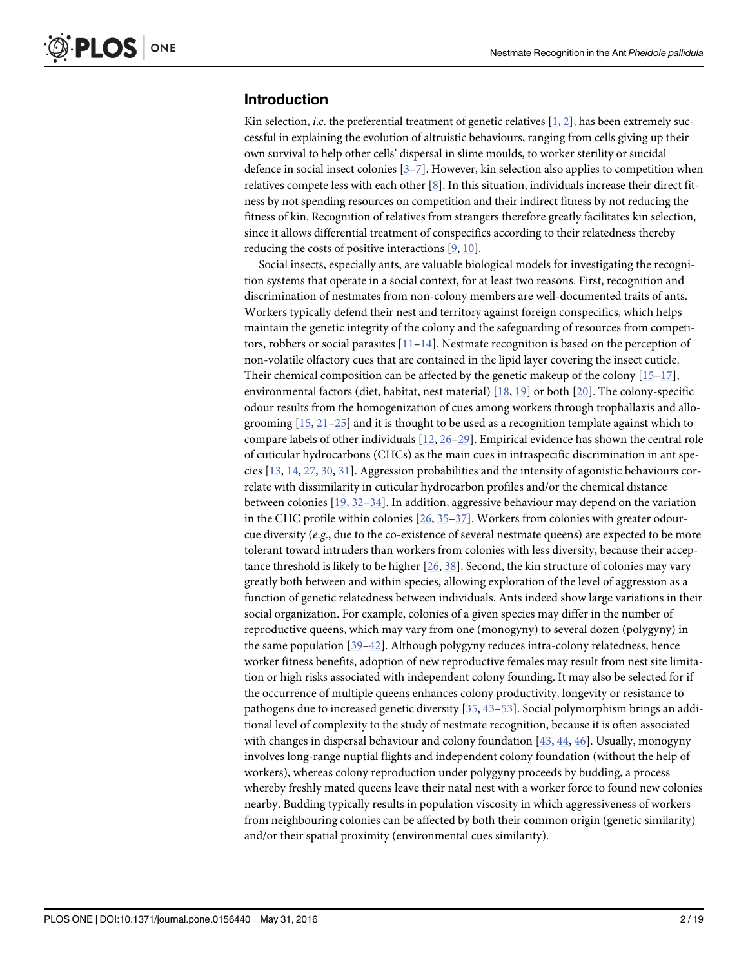# <span id="page-1-0"></span>Introduction

Kin selection, *i.e.* the preferential treatment of genetic relatives  $[1, 2]$  $[1, 2]$  $[1, 2]$  $[1, 2]$ , has been extremely successful in explaining the evolution of altruistic behaviours, ranging from cells giving up their own survival to help other cells' dispersal in slime moulds, to worker sterility or suicidal defence in social insect colonies [[3](#page-14-0)–[7](#page-14-0)]. However, kin selection also applies to competition when relatives compete less with each other  $[8]$ . In this situation, individuals increase their direct fitness by not spending resources on competition and their indirect fitness by not reducing the fitness of kin. Recognition of relatives from strangers therefore greatly facilitates kin selection, since it allows differential treatment of conspecifics according to their relatedness thereby reducing the costs of positive interactions  $[9, 10]$  $[9, 10]$  $[9, 10]$  $[9, 10]$  $[9, 10]$ .

Social insects, especially ants, are valuable biological models for investigating the recognition systems that operate in a social context, for at least two reasons. First, recognition and discrimination of nestmates from non-colony members are well-documented traits of ants. Workers typically defend their nest and territory against foreign conspecifics, which helps maintain the genetic integrity of the colony and the safeguarding of resources from competitors, robbers or social parasites  $[11-14]$  $[11-14]$  $[11-14]$ . Nestmate recognition is based on the perception of non-volatile olfactory cues that are contained in the lipid layer covering the insect cuticle. Their chemical composition can be affected by the genetic makeup of the colony  $[15-17]$  $[15-17]$  $[15-17]$ , environmental factors (diet, habitat, nest material) [\[18](#page-14-0), [19](#page-14-0)] or both [\[20\]](#page-14-0). The colony-specific odour results from the homogenization of cues among workers through trophallaxis and allogrooming  $[15, 21-25]$  $[15, 21-25]$  $[15, 21-25]$  $[15, 21-25]$  $[15, 21-25]$  and it is thought to be used as a recognition template against which to compare labels of other individuals  $[12, 26-29]$  $[12, 26-29]$  $[12, 26-29]$  $[12, 26-29]$  $[12, 26-29]$  $[12, 26-29]$ . Empirical evidence has shown the central role of cuticular hydrocarbons (CHCs) as the main cues in intraspecific discrimination in ant species  $[13, 14, 27, 30, 31]$  $[13, 14, 27, 30, 31]$  $[13, 14, 27, 30, 31]$  $[13, 14, 27, 30, 31]$  $[13, 14, 27, 30, 31]$  $[13, 14, 27, 30, 31]$  $[13, 14, 27, 30, 31]$  $[13, 14, 27, 30, 31]$  $[13, 14, 27, 30, 31]$ . Aggression probabilities and the intensity of agonistic behaviours correlate with dissimilarity in cuticular hydrocarbon profiles and/or the chemical distance between colonies  $[19, 32-34]$  $[19, 32-34]$  $[19, 32-34]$  $[19, 32-34]$  $[19, 32-34]$  $[19, 32-34]$ . In addition, aggressive behaviour may depend on the variation in the CHC profile within colonies  $[26, 35-37]$  $[26, 35-37]$  $[26, 35-37]$  $[26, 35-37]$  $[26, 35-37]$  $[26, 35-37]$  $[26, 35-37]$ . Workers from colonies with greater odourcue diversity (*e.g.*, due to the co-existence of several nestmate queens) are expected to be more tolerant toward intruders than workers from colonies with less diversity, because their acceptance threshold is likely to be higher  $[26, 38]$  $[26, 38]$  $[26, 38]$  $[26, 38]$ . Second, the kin structure of colonies may vary greatly both between and within species, allowing exploration of the level of aggression as a function of genetic relatedness between individuals. Ants indeed show large variations in their social organization. For example, colonies of a given species may differ in the number of reproductive queens, which may vary from one (monogyny) to several dozen (polygyny) in the same population [\[39](#page-15-0)–[42\]](#page-15-0). Although polygyny reduces intra-colony relatedness, hence worker fitness benefits, adoption of new reproductive females may result from nest site limitation or high risks associated with independent colony founding. It may also be selected for if the occurrence of multiple queens enhances colony productivity, longevity or resistance to pathogens due to increased genetic diversity [\[35](#page-15-0), [43](#page-15-0)–[53\]](#page-16-0). Social polymorphism brings an additional level of complexity to the study of nestmate recognition, because it is often associated with changes in dispersal behaviour and colony foundation [[43,](#page-15-0) [44,](#page-15-0) [46\]](#page-15-0). Usually, monogyny involves long-range nuptial flights and independent colony foundation (without the help of workers), whereas colony reproduction under polygyny proceeds by budding, a process whereby freshly mated queens leave their natal nest with a worker force to found new colonies nearby. Budding typically results in population viscosity in which aggressiveness of workers from neighbouring colonies can be affected by both their common origin (genetic similarity) and/or their spatial proximity (environmental cues similarity).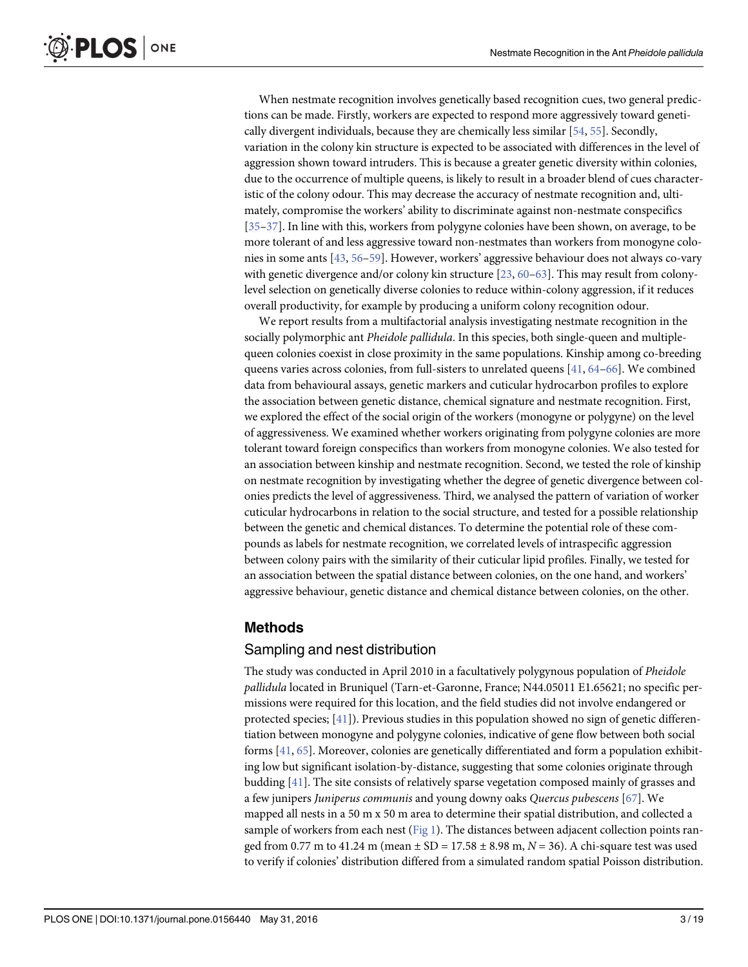<span id="page-2-0"></span>When nestmate recognition involves genetically based recognition cues, two general predictions can be made. Firstly, workers are expected to respond more aggressively toward genetically divergent individuals, because they are chemically less similar [\[54,](#page-16-0) [55\]](#page-16-0). Secondly, variation in the colony kin structure is expected to be associated with differences in the level of aggression shown toward intruders. This is because a greater genetic diversity within colonies, due to the occurrence of multiple queens, is likely to result in a broader blend of cues characteristic of the colony odour. This may decrease the accuracy of nestmate recognition and, ultimately, compromise the workers' ability to discriminate against non-nestmate conspecifics [\[35](#page-15-0)–[37\]](#page-15-0). In line with this, workers from polygyne colonies have been shown, on average, to be more tolerant of and less aggressive toward non-nestmates than workers from monogyne colonies in some ants [[43](#page-15-0), [56](#page-16-0)–[59\]](#page-16-0). However, workers' aggressive behaviour does not always co-vary with genetic divergence and/or colony kin structure  $[23, 60-63]$  $[23, 60-63]$  $[23, 60-63]$  $[23, 60-63]$  $[23, 60-63]$  $[23, 60-63]$  $[23, 60-63]$ . This may result from colonylevel selection on genetically diverse colonies to reduce within-colony aggression, if it reduces overall productivity, for example by producing a uniform colony recognition odour.

We report results from a multifactorial analysis investigating nestmate recognition in the socially polymorphic ant *Pheidole pallidula*. In this species, both single-queen and multiplequeen colonies coexist in close proximity in the same populations. Kinship among co-breeding queens varies across colonies, from full-sisters to unrelated queens  $[41, 64-66]$  $[41, 64-66]$  $[41, 64-66]$  $[41, 64-66]$  $[41, 64-66]$  $[41, 64-66]$ . We combined data from behavioural assays, genetic markers and cuticular hydrocarbon profiles to explore the association between genetic distance, chemical signature and nestmate recognition. First, we explored the effect of the social origin of the workers (monogyne or polygyne) on the level of aggressiveness. We examined whether workers originating from polygyne colonies are more tolerant toward foreign conspecifics than workers from monogyne colonies. We also tested for an association between kinship and nestmate recognition. Second, we tested the role of kinship on nestmate recognition by investigating whether the degree of genetic divergence between colonies predicts the level of aggressiveness. Third, we analysed the pattern of variation of worker cuticular hydrocarbons in relation to the social structure, and tested for a possible relationship between the genetic and chemical distances. To determine the potential role of these compounds as labels for nestmate recognition, we correlated levels of intraspecific aggression between colony pairs with the similarity of their cuticular lipid profiles. Finally, we tested for an association between the spatial distance between colonies, on the one hand, and workers' aggressive behaviour, genetic distance and chemical distance between colonies, on the other.

#### Methods

#### Sampling and nest distribution

The study was conducted in April 2010 in a facultatively polygynous population of Pheidole pallidula located in Bruniquel (Tarn-et-Garonne, France; N44.05011 E1.65621; no specific permissions were required for this location, and the field studies did not involve endangered or protected species;  $[41]$ ). Previous studies in this population showed no sign of genetic differentiation between monogyne and polygyne colonies, indicative of gene flow between both social forms [\[41,](#page-15-0) [65\]](#page-16-0). Moreover, colonies are genetically differentiated and form a population exhibiting low but significant isolation-by-distance, suggesting that some colonies originate through budding [[41](#page-15-0)]. The site consists of relatively sparse vegetation composed mainly of grasses and a few junipers Juniperus communis and young downy oaks Quercus pubescens [\[67\]](#page-16-0). We mapped all nests in a 50 m x 50 m area to determine their spatial distribution, and collected a sample of workers from each nest ( $Fig 1$ ). The distances between adjacent collection points ranged from 0.77 m to 41.24 m (mean  $\pm$  SD = 17.58  $\pm$  8.98 m, N = 36). A chi-square test was used to verify if colonies' distribution differed from a simulated random spatial Poisson distribution.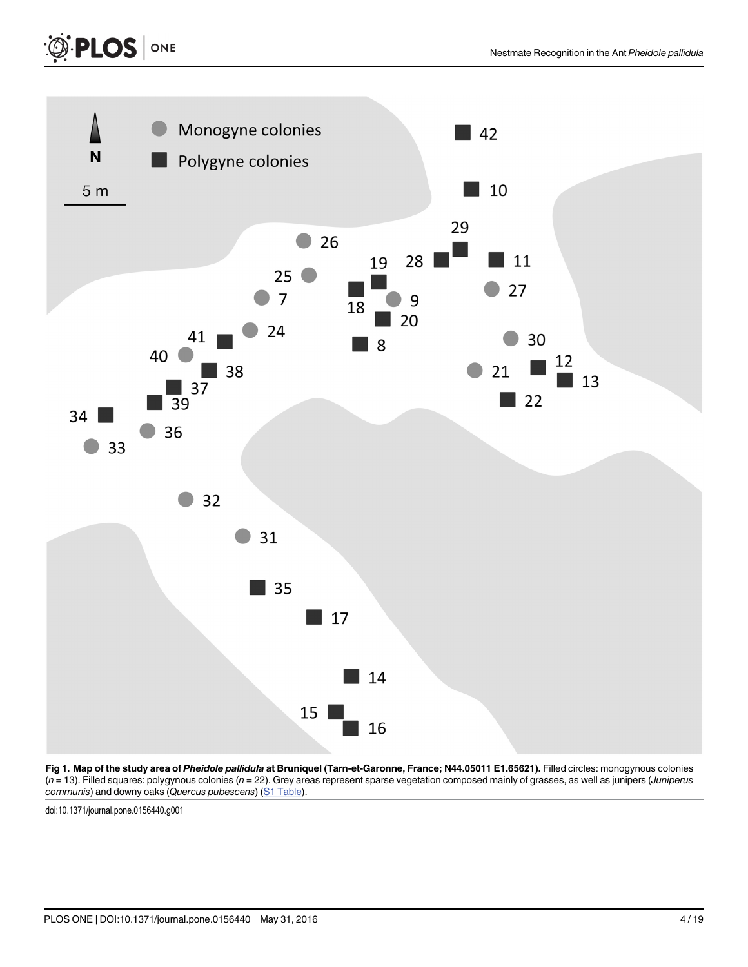

[Fig 1. M](#page-2-0)ap of the study area of Pheidole pallidula at Bruniquel (Tarn-et-Garonne, France; N44.05011 E1.65621). Filled circles: monogynous colonies  $(n = 13)$ . Filled squares: polygynous colonies  $(n = 22)$ . Grey areas represent sparse vegetation composed mainly of grasses, as well as junipers (Juniperus communis) and downy oaks (Quercus pubescens) ([S1 Table\)](#page-13-0).

doi:10.1371/journal.pone.0156440.g001

<span id="page-3-0"></span>PLOS | ONE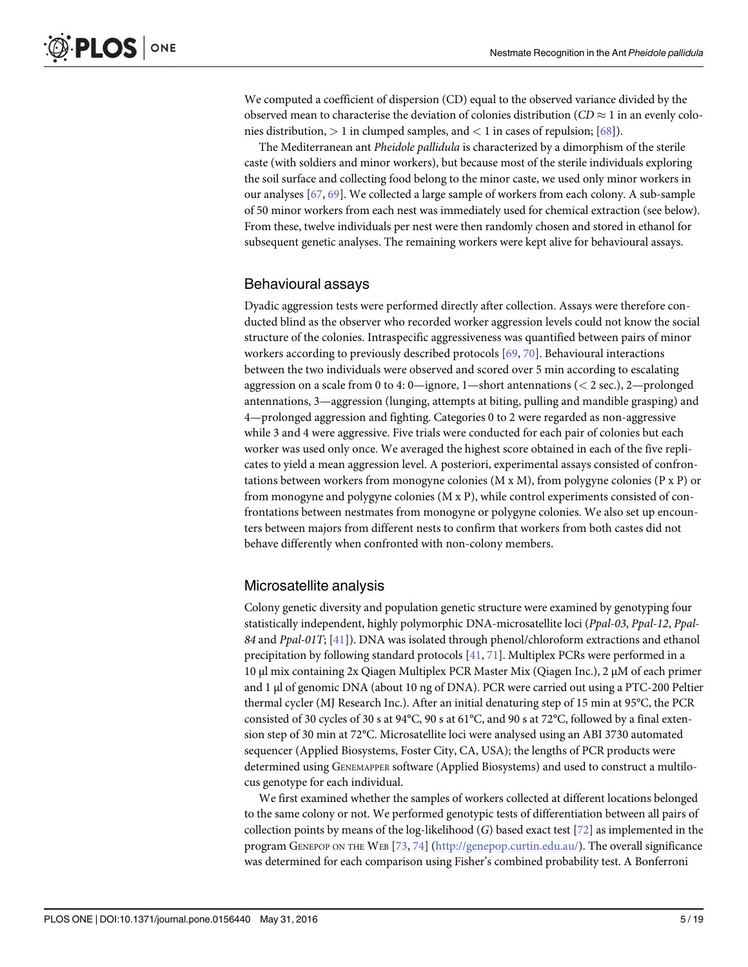<span id="page-4-0"></span>We computed a coefficient of dispersion (CD) equal to the observed variance divided by the observed mean to characterise the deviation of colonies distribution ( $CD \approx 1$  in an evenly colonies distribution,  $> 1$  in clumped samples, and  $< 1$  in cases of repulsion; [\[68](#page-16-0)]).

The Mediterranean ant Pheidole pallidula is characterized by a dimorphism of the sterile caste (with soldiers and minor workers), but because most of the sterile individuals exploring the soil surface and collecting food belong to the minor caste, we used only minor workers in our analyses [\[67](#page-16-0), [69](#page-16-0)]. We collected a large sample of workers from each colony. A sub-sample of 50 minor workers from each nest was immediately used for chemical extraction (see below). From these, twelve individuals per nest were then randomly chosen and stored in ethanol for subsequent genetic analyses. The remaining workers were kept alive for behavioural assays.

#### Behavioural assays

Dyadic aggression tests were performed directly after collection. Assays were therefore conducted blind as the observer who recorded worker aggression levels could not know the social structure of the colonies. Intraspecific aggressiveness was quantified between pairs of minor workers according to previously described protocols [\[69,](#page-16-0) [70](#page-16-0)]. Behavioural interactions between the two individuals were observed and scored over 5 min according to escalating aggression on a scale from 0 to 4: 0—ignore, 1—short antennations  $(< 2 \text{ sec.})$ , 2—prolonged antennations, 3—aggression (lunging, attempts at biting, pulling and mandible grasping) and 4—prolonged aggression and fighting. Categories 0 to 2 were regarded as non-aggressive while 3 and 4 were aggressive. Five trials were conducted for each pair of colonies but each worker was used only once. We averaged the highest score obtained in each of the five replicates to yield a mean aggression level. A posteriori, experimental assays consisted of confrontations between workers from monogyne colonies (M x M), from polygyne colonies (P x P) or from monogyne and polygyne colonies (M x P), while control experiments consisted of confrontations between nestmates from monogyne or polygyne colonies. We also set up encounters between majors from different nests to confirm that workers from both castes did not behave differently when confronted with non-colony members.

#### Microsatellite analysis

Colony genetic diversity and population genetic structure were examined by genotyping four statistically independent, highly polymorphic DNA-microsatellite loci (Ppal-03, Ppal-12, Ppal-84 and Ppal-01T; [[41\]](#page-15-0)). DNA was isolated through phenol/chloroform extractions and ethanol precipitation by following standard protocols  $[41, 71]$  $[41, 71]$  $[41, 71]$  $[41, 71]$  $[41, 71]$ . Multiplex PCRs were performed in a 10 μl mix containing 2x Qiagen Multiplex PCR Master Mix (Qiagen Inc.), 2 μM of each primer and 1 μl of genomic DNA (about 10 ng of DNA). PCR were carried out using a PTC-200 Peltier thermal cycler (MJ Research Inc.). After an initial denaturing step of 15 min at 95°C, the PCR consisted of 30 cycles of 30 s at 94°C, 90 s at 61°C, and 90 s at 72°C, followed by a final extension step of 30 min at 72°C. Microsatellite loci were analysed using an ABI 3730 automated sequencer (Applied Biosystems, Foster City, CA, USA); the lengths of PCR products were determined using GENEMAPPER software (Applied Biosystems) and used to construct a multilocus genotype for each individual.

We first examined whether the samples of workers collected at different locations belonged to the same colony or not. We performed genotypic tests of differentiation between all pairs of collection points by means of the log-likelihood  $(G)$  based exact test [[72](#page-16-0)] as implemented in the program GENEPOP ON THE WEB [[73,](#page-16-0) [74\]](#page-16-0) ([http://genepop.curtin.edu.au/\)](http://genepop.curtin.edu.au/). The overall significance was determined for each comparison using Fisher's combined probability test. A Bonferroni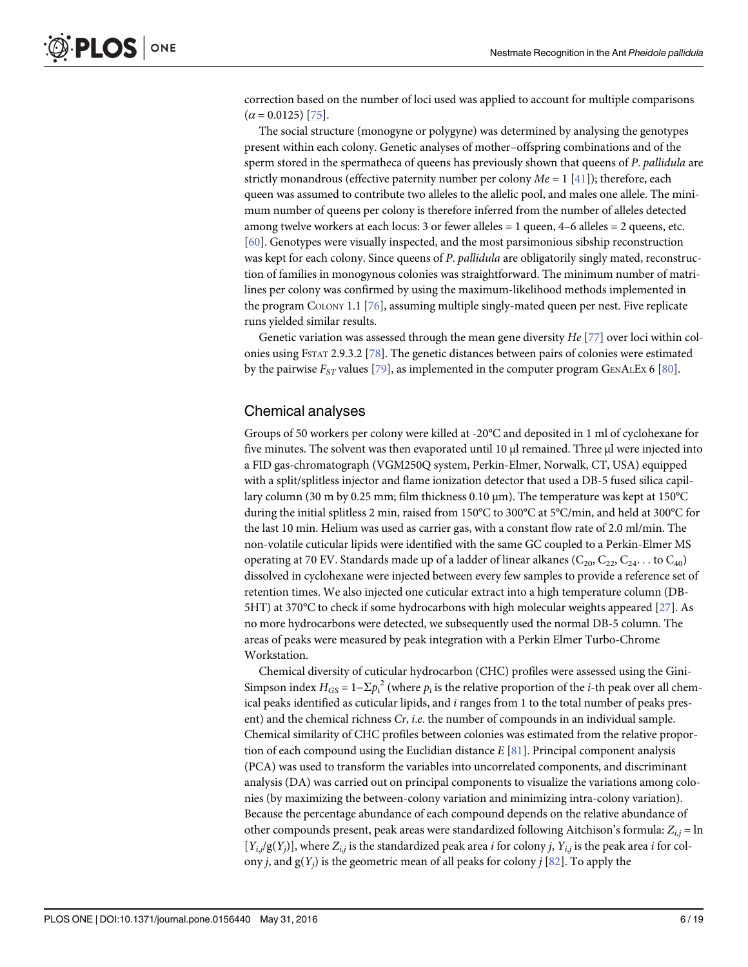<span id="page-5-0"></span>correction based on the number of loci used was applied to account for multiple comparisons  $(\alpha = 0.0125)$  [\[75\]](#page-16-0).

The social structure (monogyne or polygyne) was determined by analysing the genotypes present within each colony. Genetic analyses of mother–offspring combinations and of the sperm stored in the spermatheca of queens has previously shown that queens of P. pallidula are strictly monandrous (effective paternity number per colony  $Me = 1$  [[41](#page-15-0)]); therefore, each queen was assumed to contribute two alleles to the allelic pool, and males one allele. The minimum number of queens per colony is therefore inferred from the number of alleles detected among twelve workers at each locus: 3 or fewer alleles  $= 1$  queen,  $4-6$  alleles  $= 2$  queens, etc. [\[60](#page-16-0)]. Genotypes were visually inspected, and the most parsimonious sibship reconstruction was kept for each colony. Since queens of P. pallidula are obligatorily singly mated, reconstruction of families in monogynous colonies was straightforward. The minimum number of matrilines per colony was confirmed by using the maximum-likelihood methods implemented in the program COLONY 1.1 [\[76\]](#page-16-0), assuming multiple singly-mated queen per nest. Five replicate runs yielded similar results.

Genetic variation was assessed through the mean gene diversity  $He$  [[77](#page-16-0)] over loci within colonies using FSTAT 2.9.3.2 [\[78\]](#page-17-0). The genetic distances between pairs of colonies were estimated by the pairwise  $F_{ST}$  values [\[79\]](#page-17-0), as implemented in the computer program GENALEX 6 [[80\]](#page-17-0).

#### Chemical analyses

Groups of 50 workers per colony were killed at -20°C and deposited in 1 ml of cyclohexane for five minutes. The solvent was then evaporated until 10 μl remained. Three μl were injected into a FID gas-chromatograph (VGM250Q system, Perkin-Elmer, Norwalk, CT, USA) equipped with a split/splitless injector and flame ionization detector that used a DB-5 fused silica capillary column (30 m by 0.25 mm; film thickness 0.10 μm). The temperature was kept at 150°C during the initial splitless 2 min, raised from 150°C to 300°C at 5°C/min, and held at 300°C for the last 10 min. Helium was used as carrier gas, with a constant flow rate of 2.0 ml/min. The non-volatile cuticular lipids were identified with the same GC coupled to a Perkin-Elmer MS operating at 70 EV. Standards made up of a ladder of linear alkanes ( $C_{20}$ ,  $C_{22}$ ,  $C_{24}$ ... to  $C_{40}$ ) dissolved in cyclohexane were injected between every few samples to provide a reference set of retention times. We also injected one cuticular extract into a high temperature column (DB-5HT) at 370°C to check if some hydrocarbons with high molecular weights appeared [[27](#page-15-0)]. As no more hydrocarbons were detected, we subsequently used the normal DB-5 column. The areas of peaks were measured by peak integration with a Perkin Elmer Turbo-Chrome Workstation.

Chemical diversity of cuticular hydrocarbon (CHC) profiles were assessed using the Gini-Simpson index  $H_{GS} = 1 - \Sigma p_i^2$  (where  $p_i$  is the relative proportion of the *i*-th peak over all chemical peaks identified as cuticular lipids, and  $i$  ranges from 1 to the total number of peaks present) and the chemical richness  $Cr$ , i.e. the number of compounds in an individual sample. Chemical similarity of CHC profiles between colonies was estimated from the relative proportion of each compound using the Euclidian distance  $E[81]$  $E[81]$  $E[81]$ . Principal component analysis (PCA) was used to transform the variables into uncorrelated components, and discriminant analysis (DA) was carried out on principal components to visualize the variations among colonies (by maximizing the between-colony variation and minimizing intra-colony variation). Because the percentage abundance of each compound depends on the relative abundance of other compounds present, peak areas were standardized following Aitchison's formula:  $Z_{i,j} = \ln \frac{1}{2}$  $[Y_{i,j}/g(Y_j)]$ , where  $Z_{i,j}$  is the standardized peak area *i* for colony *j*,  $Y_{i,j}$  is the peak area *i* for colony *i*, and  $g(Y_i)$  is the geometric mean of all peaks for colony *i* [\[82\]](#page-17-0). To apply the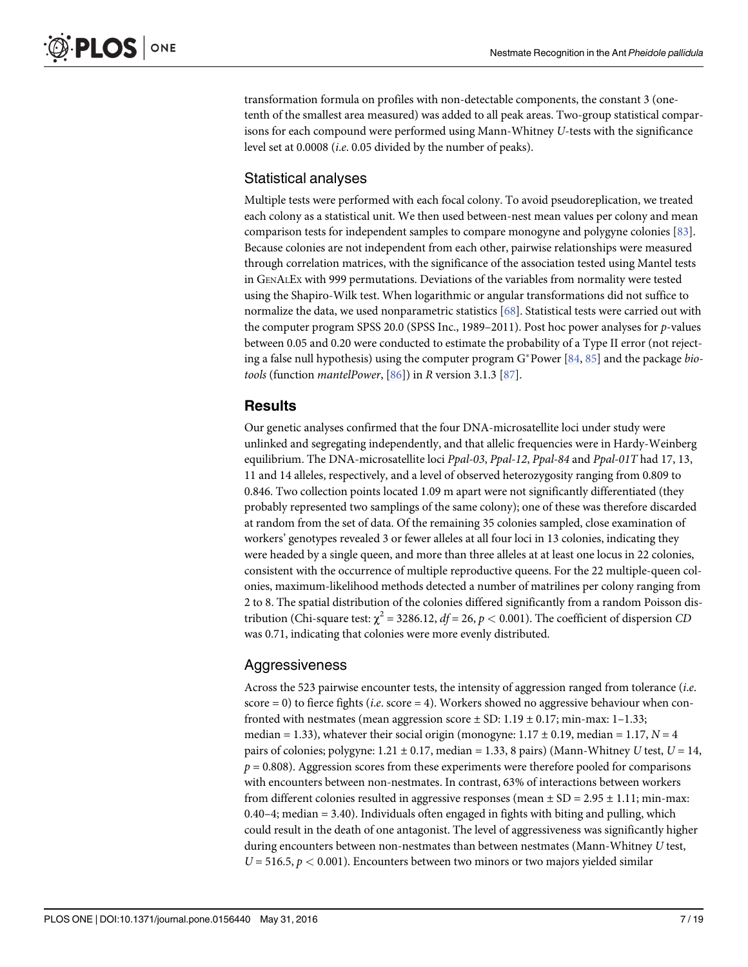<span id="page-6-0"></span>transformation formula on profiles with non-detectable components, the constant 3 (onetenth of the smallest area measured) was added to all peak areas. Two-group statistical comparisons for each compound were performed using Mann-Whitney U-tests with the significance level set at 0.0008 (i.e. 0.05 divided by the number of peaks).

# Statistical analyses

Multiple tests were performed with each focal colony. To avoid pseudoreplication, we treated each colony as a statistical unit. We then used between-nest mean values per colony and mean comparison tests for independent samples to compare monogyne and polygyne colonies [\[83\]](#page-17-0). Because colonies are not independent from each other, pairwise relationships were measured through correlation matrices, with the significance of the association tested using Mantel tests in GENALEX with 999 permutations. Deviations of the variables from normality were tested using the Shapiro-Wilk test. When logarithmic or angular transformations did not suffice to normalize the data, we used nonparametric statistics [[68](#page-16-0)]. Statistical tests were carried out with the computer program SPSS 20.0 (SPSS Inc., 1989–2011). Post hoc power analyses for p-values between 0.05 and 0.20 were conducted to estimate the probability of a Type II error (not rejecting a false null hypothesis) using the computer program  $G^*$ Power  $[84, 85]$  $[84, 85]$  $[84, 85]$  and the package biotools (function mantelPower, [[86](#page-17-0)]) in R version 3.1.3 [\[87\]](#page-17-0).

#### Results

Our genetic analyses confirmed that the four DNA-microsatellite loci under study were unlinked and segregating independently, and that allelic frequencies were in Hardy-Weinberg equilibrium. The DNA-microsatellite loci Ppal-03, Ppal-12, Ppal-84 and Ppal-01T had 17, 13, 11 and 14 alleles, respectively, and a level of observed heterozygosity ranging from 0.809 to 0.846. Two collection points located 1.09 m apart were not significantly differentiated (they probably represented two samplings of the same colony); one of these was therefore discarded at random from the set of data. Of the remaining 35 colonies sampled, close examination of workers' genotypes revealed 3 or fewer alleles at all four loci in 13 colonies, indicating they were headed by a single queen, and more than three alleles at at least one locus in 22 colonies, consistent with the occurrence of multiple reproductive queens. For the 22 multiple-queen colonies, maximum-likelihood methods detected a number of matrilines per colony ranging from 2 to 8. The spatial distribution of the colonies differed significantly from a random Poisson distribution (Chi-square test:  $\chi^2$  = 3286.12,  $df$  = 26,  $p$  < 0.001). The coefficient of dispersion CD was 0.71, indicating that colonies were more evenly distributed.

# **Aggressiveness**

Across the 523 pairwise encounter tests, the intensity of aggression ranged from tolerance (i.e. score = 0) to fierce fights (*i.e.* score = 4). Workers showed no aggressive behaviour when confronted with nestmates (mean aggression score  $\pm$  SD: 1.19  $\pm$  0.17; min-max: 1–1.33; median = 1.33), whatever their social origin (monogyne:  $1.17 \pm 0.19$ , median = 1.17,  $N = 4$ pairs of colonies; polygyne:  $1.21 \pm 0.17$ , median = 1.33, 8 pairs) (Mann-Whitney U test,  $U = 14$ ,  $p = 0.808$ ). Aggression scores from these experiments were therefore pooled for comparisons with encounters between non-nestmates. In contrast, 63% of interactions between workers from different colonies resulted in aggressive responses (mean  $\pm$  SD = 2.95  $\pm$  1.11; min-max: 0.40–4; median = 3.40). Individuals often engaged in fights with biting and pulling, which could result in the death of one antagonist. The level of aggressiveness was significantly higher during encounters between non-nestmates than between nestmates (Mann-Whitney U test,  $U = 516.5, p < 0.001$ ). Encounters between two minors or two majors yielded similar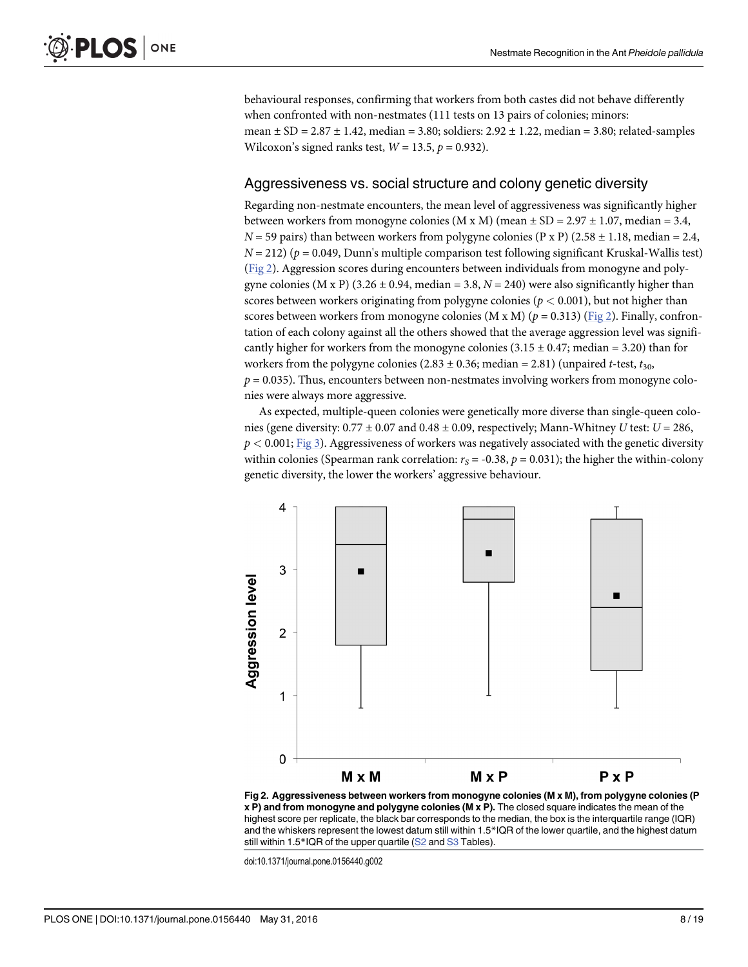<span id="page-7-0"></span>behavioural responses, confirming that workers from both castes did not behave differently when confronted with non-nestmates (111 tests on 13 pairs of colonies; minors: mean  $\pm$  SD = 2.87  $\pm$  1.42, median = 3.80; soldiers: 2.92  $\pm$  1.22, median = 3.80; related-samples Wilcoxon's signed ranks test,  $W = 13.5$ ,  $p = 0.932$ ).

#### Aggressiveness vs. social structure and colony genetic diversity

Regarding non-nestmate encounters, the mean level of aggressiveness was significantly higher between workers from monogyne colonies (M x M) (mean  $\pm$  SD = 2.97  $\pm$  1.07, median = 3.4,  $N = 59$  pairs) than between workers from polygyne colonies (P x P) (2.58  $\pm$  1.18, median = 2.4,  $N = 212$ ) ( $p = 0.049$ , Dunn's multiple comparison test following significant Kruskal-Wallis test) (Fig 2). Aggression scores during encounters between individuals from monogyne and polygyne colonies (M x P) (3.26  $\pm$  0.94, median = 3.8, N = 240) were also significantly higher than scores between workers originating from polygyne colonies ( $p < 0.001$ ), but not higher than scores between workers from monogyne colonies (M x M) ( $p = 0.313$ ) ( $\underline{Fig 2}$ ). Finally, confrontation of each colony against all the others showed that the average aggression level was significantly higher for workers from the monogyne colonies  $(3.15 \pm 0.47)$ ; median = 3.20) than for workers from the polygyne colonies (2.83  $\pm$  0.36; median = 2.81) (unpaired *t*-test,  $t_{30}$ ,  $p = 0.035$ ). Thus, encounters between non-nestmates involving workers from monogyne colonies were always more aggressive.

As expected, multiple-queen colonies were genetically more diverse than single-queen colonies (gene diversity:  $0.77 \pm 0.07$  and  $0.48 \pm 0.09$ , respectively; Mann-Whitney U test:  $U = 286$ ,  $p < 0.001$ ; [Fig 3\)](#page-8-0). Aggressiveness of workers was negatively associated with the genetic diversity within colonies (Spearman rank correlation:  $r_s = -0.38$ ,  $p = 0.031$ ); the higher the within-colony genetic diversity, the lower the workers' aggressive behaviour.



Fig 2. Aggressiveness between workers from monogyne colonies (M x M), from polygyne colonies (P x P) and from monogyne and polygyne colonies (M x P). The closed square indicates the mean of the highest score per replicate, the black bar corresponds to the median, the box is the interquartile range (IQR) and the whiskers represent the lowest datum still within 1.5\*IQR of the lower quartile, and the highest datum still within 1.5\*IQR of the upper quartile [\(S2](#page-13-0) and [S3](#page-13-0) Tables).

doi:10.1371/journal.pone.0156440.g002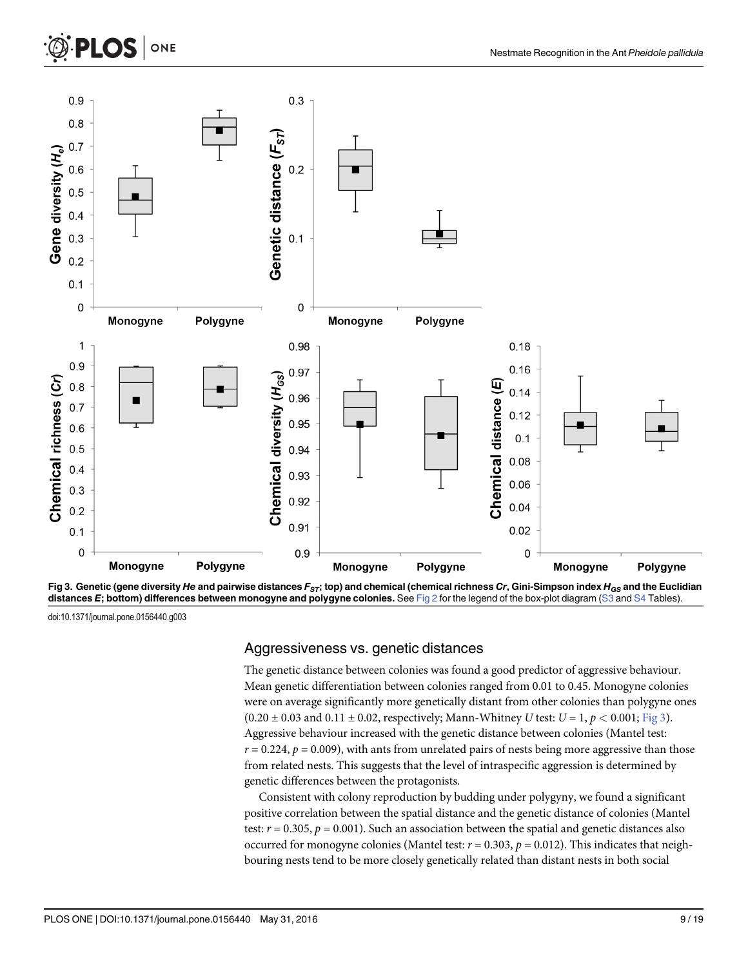<span id="page-8-0"></span>

[Fig 3.](#page-7-0) Genetic (gene diversity He and pairwise distances  $F_{ST}$ ; top) and chemical (chemical richness Cr, Gini-Simpson index  $H_{GS}$  and the Euclidian distances E; bottom) differences between monogyne and polygyne colonies. See [Fig 2](#page-7-0) for the legend of the box-plot diagram ([S3](#page-13-0) and [S4](#page-13-0) Tables)

doi:10.1371/journal.pone.0156440.g003

**LOS** 

ONE

#### Aggressiveness vs. genetic distances

The genetic distance between colonies was found a good predictor of aggressive behaviour. Mean genetic differentiation between colonies ranged from 0.01 to 0.45. Monogyne colonies were on average significantly more genetically distant from other colonies than polygyne ones  $(0.20 \pm 0.03 \text{ and } 0.11 \pm 0.02, \text{ respectively}; \text{Mann-Whitney } U \text{ test: } U = 1, p < 0.001; \text{Fig 3}).$ Aggressive behaviour increased with the genetic distance between colonies (Mantel test:  $r = 0.224$ ,  $p = 0.009$ ), with ants from unrelated pairs of nests being more aggressive than those from related nests. This suggests that the level of intraspecific aggression is determined by genetic differences between the protagonists.

Consistent with colony reproduction by budding under polygyny, we found a significant positive correlation between the spatial distance and the genetic distance of colonies (Mantel test:  $r = 0.305$ ,  $p = 0.001$ ). Such an association between the spatial and genetic distances also occurred for monogyne colonies (Mantel test:  $r = 0.303$ ,  $p = 0.012$ ). This indicates that neighbouring nests tend to be more closely genetically related than distant nests in both social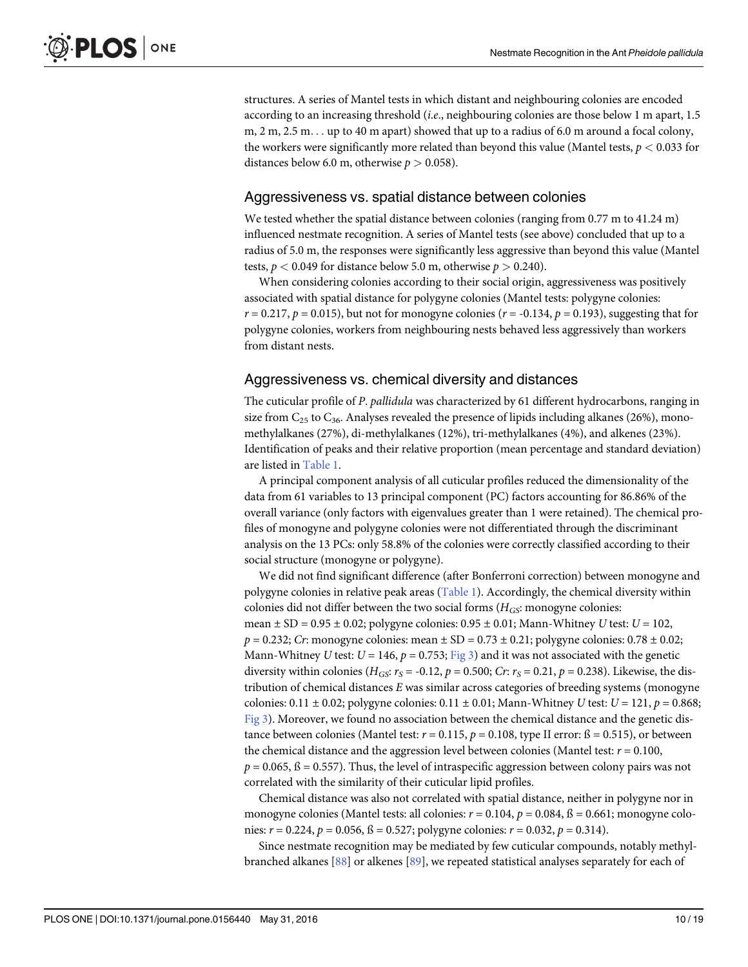<span id="page-9-0"></span>structures. A series of Mantel tests in which distant and neighbouring colonies are encoded according to an increasing threshold (i.e., neighbouring colonies are those below 1 m apart, 1.5 m,  $2 \text{ m}, 2.5 \text{ m}$ ... up to 40 m apart) showed that up to a radius of 6.0 m around a focal colony, the workers were significantly more related than beyond this value (Mantel tests,  $p < 0.033$  for distances below 6.0 m, otherwise  $p > 0.058$ .

#### Aggressiveness vs. spatial distance between colonies

We tested whether the spatial distance between colonies (ranging from 0.77 m to 41.24 m) influenced nestmate recognition. A series of Mantel tests (see above) concluded that up to a radius of 5.0 m, the responses were significantly less aggressive than beyond this value (Mantel tests,  $p < 0.049$  for distance below 5.0 m, otherwise  $p > 0.240$ ).

When considering colonies according to their social origin, aggressiveness was positively associated with spatial distance for polygyne colonies (Mantel tests: polygyne colonies:  $r = 0.217$ ,  $p = 0.015$ ), but not for monogyne colonies ( $r = -0.134$ ,  $p = 0.193$ ), suggesting that for polygyne colonies, workers from neighbouring nests behaved less aggressively than workers from distant nests.

#### Aggressiveness vs. chemical diversity and distances

The cuticular profile of P. pallidula was characterized by 61 different hydrocarbons, ranging in size from  $C_{25}$  to  $C_{36}$ . Analyses revealed the presence of lipids including alkanes (26%), monomethylalkanes (27%), di-methylalkanes (12%), tri-methylalkanes (4%), and alkenes (23%). Identification of peaks and their relative proportion (mean percentage and standard deviation) are listed in [Table 1](#page-10-0).

A principal component analysis of all cuticular profiles reduced the dimensionality of the data from 61 variables to 13 principal component (PC) factors accounting for 86.86% of the overall variance (only factors with eigenvalues greater than 1 were retained). The chemical profiles of monogyne and polygyne colonies were not differentiated through the discriminant analysis on the 13 PCs: only 58.8% of the colonies were correctly classified according to their social structure (monogyne or polygyne).

We did not find significant difference (after Bonferroni correction) between monogyne and polygyne colonies in relative peak areas [\(Table 1](#page-10-0)). Accordingly, the chemical diversity within colonies did not differ between the two social forms  $(H_{GS}$ : monogyne colonies: mean  $\pm$  SD = 0.95  $\pm$  0.02; polygyne colonies: 0.95  $\pm$  0.01; Mann-Whitney U test: U = 102,  $p = 0.232$ ; Cr: monogyne colonies: mean  $\pm$  SD = 0.73  $\pm$  0.21; polygyne colonies: 0.78  $\pm$  0.02; Mann-Whitney U test:  $U = 146$ ,  $p = 0.753$ ; [Fig 3](#page-8-0)) and it was not associated with the genetic diversity within colonies ( $H_{GS}$ :  $r_S$  = -0.12,  $p$  = 0.500; Cr:  $r_S$  = 0.21,  $p$  = 0.238). Likewise, the distribution of chemical distances E was similar across categories of breeding systems (monogyne colonies: 0.11  $\pm$  0.02; polygyne colonies: 0.11  $\pm$  0.01; Mann-Whitney U test: U = 121, p = 0.868; [Fig 3](#page-8-0)). Moreover, we found no association between the chemical distance and the genetic distance between colonies (Mantel test:  $r = 0.115$ ,  $p = 0.108$ , type II error:  $\beta = 0.515$ ), or between the chemical distance and the aggression level between colonies (Mantel test:  $r = 0.100$ ,  $p = 0.065$ ,  $\beta = 0.557$ ). Thus, the level of intraspecific aggression between colony pairs was not correlated with the similarity of their cuticular lipid profiles.

Chemical distance was also not correlated with spatial distance, neither in polygyne nor in monogyne colonies (Mantel tests: all colonies:  $r = 0.104$ ,  $p = 0.084$ ,  $\beta = 0.661$ ; monogyne colonies:  $r = 0.224$ ,  $p = 0.056$ ,  $\beta = 0.527$ ; polygyne colonies:  $r = 0.032$ ,  $p = 0.314$ ).

Since nestmate recognition may be mediated by few cuticular compounds, notably methylbranched alkanes  $[88]$  $[88]$  $[88]$  or alkenes  $[89]$  $[89]$  $[89]$ , we repeated statistical analyses separately for each of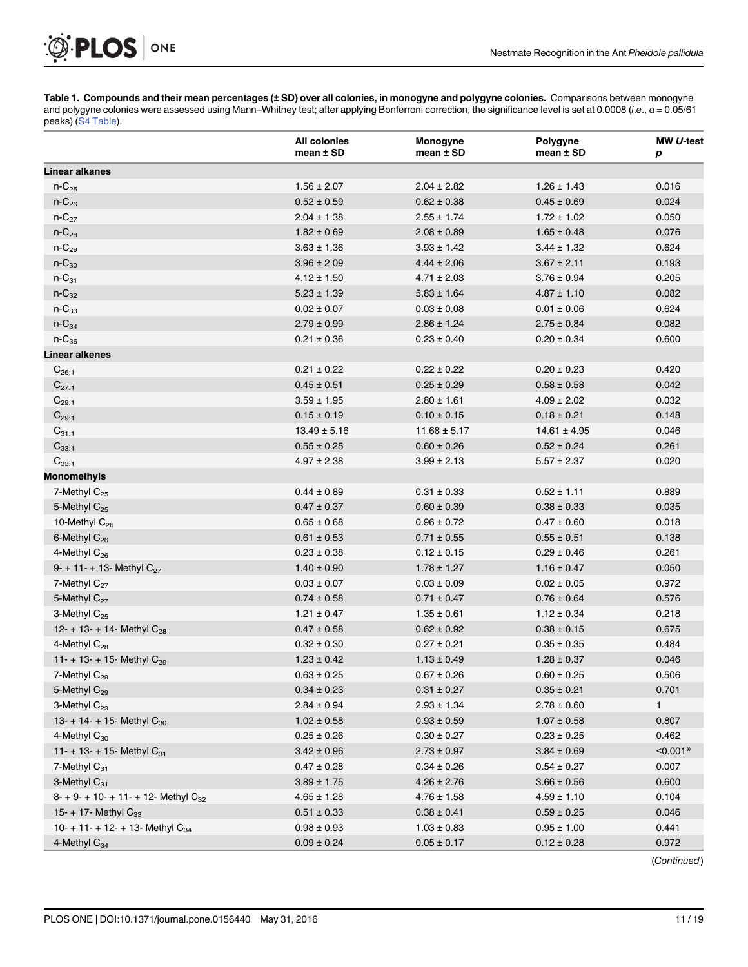[Table 1.](#page-9-0) Compounds and their mean percentages (± SD) over all colonies, in monogyne and polygyne colonies. Comparisons between monogyne and polygyne colonies were assessed using Mann–Whitney test; after applying Bonferroni correction, the significance level is set at 0.0008 (i.e., α = 0.05/61 peaks) [\(S4 Table](#page-13-0)).

|                                                 | <b>All colonies</b><br>mean ± SD | Monogyne<br>mean ± SD | Polygyne<br>mean ± SD | MW U-test<br>р |
|-------------------------------------------------|----------------------------------|-----------------------|-----------------------|----------------|
| Linear alkanes                                  |                                  |                       |                       |                |
| $n - C_{25}$                                    | $1.56 \pm 2.07$                  | $2.04 \pm 2.82$       | $1.26 \pm 1.43$       | 0.016          |
| $n - C_{26}$                                    | $0.52 \pm 0.59$                  | $0.62 \pm 0.38$       | $0.45 \pm 0.69$       | 0.024          |
| $n-C_{27}$                                      | $2.04 \pm 1.38$                  | $2.55 \pm 1.74$       | $1.72 \pm 1.02$       | 0.050          |
| $n-C_{28}$                                      | $1.82 \pm 0.69$                  | $2.08 \pm 0.89$       | $1.65 \pm 0.48$       | 0.076          |
| $n-C_{29}$                                      | $3.63 \pm 1.36$                  | $3.93 \pm 1.42$       | $3.44 \pm 1.32$       | 0.624          |
| $n-C_{30}$                                      | $3.96 \pm 2.09$                  | $4.44 \pm 2.06$       | $3.67 \pm 2.11$       | 0.193          |
| $n-C_{31}$                                      | $4.12 \pm 1.50$                  | $4.71 \pm 2.03$       | $3.76 \pm 0.94$       | 0.205          |
| $n-C_{32}$                                      | $5.23 \pm 1.39$                  | $5.83 \pm 1.64$       | $4.87 \pm 1.10$       | 0.082          |
| $n-C_{33}$                                      | $0.02 \pm 0.07$                  | $0.03 \pm 0.08$       | $0.01 \pm 0.06$       | 0.624          |
| $n-C_{34}$                                      | $2.79 \pm 0.99$                  | $2.86 \pm 1.24$       | $2.75 \pm 0.84$       | 0.082          |
| $n-C_{36}$                                      | $0.21 \pm 0.36$                  | $0.23 \pm 0.40$       | $0.20 \pm 0.34$       | 0.600          |
| <b>Linear alkenes</b>                           |                                  |                       |                       |                |
| $C_{26:1}$                                      | $0.21 \pm 0.22$                  | $0.22 \pm 0.22$       | $0.20 \pm 0.23$       | 0.420          |
| $C_{27:1}$                                      | $0.45 \pm 0.51$                  | $0.25 \pm 0.29$       | $0.58 \pm 0.58$       | 0.042          |
| $C_{29:1}$                                      | $3.59 \pm 1.95$                  | $2.80 \pm 1.61$       | $4.09 \pm 2.02$       | 0.032          |
| $C_{29:1}$                                      | $0.15 \pm 0.19$                  | $0.10 \pm 0.15$       | $0.18 \pm 0.21$       | 0.148          |
| $C_{31:1}$                                      | $13.49 \pm 5.16$                 | $11.68 \pm 5.17$      | $14.61 \pm 4.95$      | 0.046          |
| $C_{33:1}$                                      | $0.55 \pm 0.25$                  | $0.60 \pm 0.26$       | $0.52 \pm 0.24$       | 0.261          |
| $C_{33:1}$                                      | $4.97 \pm 2.38$                  | $3.99 \pm 2.13$       | $5.57 \pm 2.37$       | 0.020          |
| <b>Monomethyls</b>                              |                                  |                       |                       |                |
| 7-Methyl C <sub>25</sub>                        | $0.44 \pm 0.89$                  | $0.31 \pm 0.33$       | $0.52 \pm 1.11$       | 0.889          |
| 5-Methyl $C_{25}$                               | $0.47 \pm 0.37$                  | $0.60 \pm 0.39$       | $0.38 \pm 0.33$       | 0.035          |
| 10-Methyl $C_{26}$                              | $0.65 \pm 0.68$                  | $0.96 \pm 0.72$       | $0.47 \pm 0.60$       | 0.018          |
| 6-Methyl C <sub>26</sub>                        | $0.61 \pm 0.53$                  | $0.71 \pm 0.55$       | $0.55 \pm 0.51$       | 0.138          |
| 4-Methyl C <sub>26</sub>                        | $0.23 \pm 0.38$                  | $0.12 \pm 0.15$       | $0.29 \pm 0.46$       | 0.261          |
| $9 - + 11 - + 13$ - Methyl C <sub>27</sub>      | $1.40 \pm 0.90$                  | $1.78 \pm 1.27$       | $1.16 \pm 0.47$       | 0.050          |
| 7-Methyl $C_{27}$                               | $0.03 \pm 0.07$                  | $0.03 \pm 0.09$       | $0.02 \pm 0.05$       | 0.972          |
| 5-Methyl C <sub>27</sub>                        | $0.74 \pm 0.58$                  | $0.71 \pm 0.47$       | $0.76 \pm 0.64$       | 0.576          |
| 3-Methyl $C_{25}$                               | $1.21 \pm 0.47$                  | $1.35 \pm 0.61$       | $1.12 \pm 0.34$       | 0.218          |
| 12- + 13- + 14- Methyl $C_{28}$                 | $0.47 \pm 0.58$                  | $0.62 \pm 0.92$       | $0.38 \pm 0.15$       | 0.675          |
| 4-Methyl C <sub>28</sub>                        | $0.32 \pm 0.30$                  | $0.27 \pm 0.21$       | $0.35 \pm 0.35$       | 0.484          |
| 11- + 13- + 15- Methyl $C_{29}$                 | $1.23 \pm 0.42$                  | $1.13 \pm 0.49$       | $1.28 \pm 0.37$       | 0.046          |
| 7-Methyl C <sub>29</sub>                        | $0.63 \pm 0.25$                  | $0.67 \pm 0.26$       | $0.60 \pm 0.25$       | 0.506          |
| 5-Methyl C <sub>29</sub>                        | $0.34 \pm 0.23$                  | $0.31 \pm 0.27$       | $0.35 \pm 0.21$       | 0.701          |
| 3-Methyl C <sub>29</sub>                        | $2.84 \pm 0.94$                  | $2.93 \pm 1.34$       | $2.78 \pm 0.60$       | 1              |
| 13- + 14- + 15- Methyl $C_{30}$                 | $1.02 \pm 0.58$                  | $0.93 \pm 0.59$       | $1.07 \pm 0.58$       | 0.807          |
| 4-Methyl $C_{30}$                               | $0.25 \pm 0.26$                  | $0.30 \pm 0.27$       | $0.23 \pm 0.25$       | 0.462          |
| 11- + 13- + 15- Methyl $C_{31}$                 | $3.42 \pm 0.96$                  | $2.73 \pm 0.97$       | $3.84 \pm 0.69$       | $< 0.001*$     |
| 7-Methyl C <sub>31</sub>                        | $0.47 \pm 0.28$                  | $0.34 \pm 0.26$       | $0.54 \pm 0.27$       | 0.007          |
| 3-Methyl C <sub>31</sub>                        | $3.89 \pm 1.75$                  | $4.26 \pm 2.76$       | $3.66 \pm 0.56$       | 0.600          |
| $8 - 9 - 10 - 11 - 12$ - Methyl C <sub>32</sub> | $4.65 \pm 1.28$                  | $4.76 \pm 1.58$       | $4.59 \pm 1.10$       | 0.104          |
| 15- + 17- Methyl $C_{33}$                       | $0.51 \pm 0.33$                  | $0.38 \pm 0.41$       | $0.59 \pm 0.25$       | 0.046          |
| 10- + 11- + 12- + 13- Methyl $C_{34}$           | $0.98 \pm 0.93$                  | $1.03 \pm 0.83$       | $0.95 \pm 1.00$       | 0.441          |
| 4-Methyl $C_{34}$                               | $0.09 \pm 0.24$                  | $0.05 \pm 0.17$       | $0.12 \pm 0.28$       | 0.972          |

(Continued)

PLOS ONE

<span id="page-10-0"></span>.Ø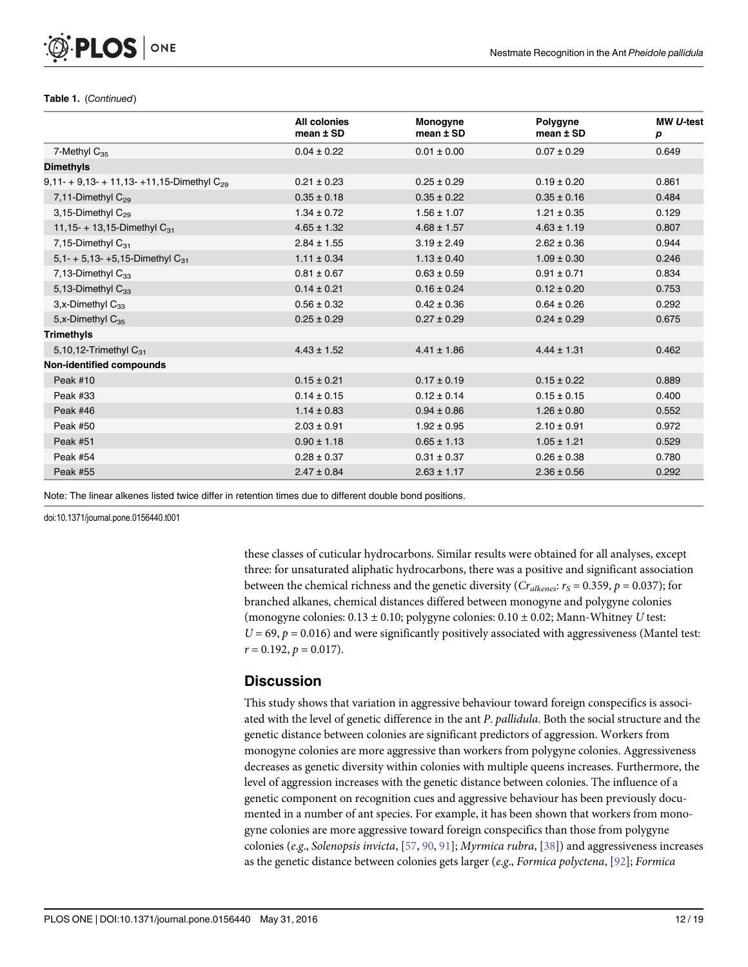#### Table 1. (Continued)

<span id="page-11-0"></span>**PLOS I** 

ONE

|                                                 | All colonies<br>mean $±$ SD | Monogyne<br>$mean \pm SD$ | Polygyne<br>mean $±$ SD | MW U-test<br>р |
|-------------------------------------------------|-----------------------------|---------------------------|-------------------------|----------------|
| 7-Methyl $C_{35}$                               | $0.04 \pm 0.22$             | $0.01 \pm 0.00$           | $0.07 \pm 0.29$         | 0.649          |
| <b>Dimethyls</b>                                |                             |                           |                         |                |
| 9,11- + 9,13- + 11,13- +11,15-Dimethyl $C_{29}$ | $0.21 \pm 0.23$             | $0.25 \pm 0.29$           | $0.19 \pm 0.20$         | 0.861          |
| 7,11-Dimethyl $C_{29}$                          | $0.35 \pm 0.18$             | $0.35 \pm 0.22$           | $0.35 \pm 0.16$         | 0.484          |
| 3,15-Dimethyl C <sub>29</sub>                   | $1.34 \pm 0.72$             | $1.56 \pm 1.07$           | $1.21 \pm 0.35$         | 0.129          |
| 11,15- + 13,15-Dimethyl $C_{31}$                | $4.65 \pm 1.32$             | $4.68 \pm 1.57$           | $4.63 \pm 1.19$         | 0.807          |
| 7,15-Dimethyl $C_{31}$                          | $2.84 \pm 1.55$             | $3.19 \pm 2.49$           | $2.62 \pm 0.36$         | 0.944          |
| 5,1- + 5,13- +5,15-Dimethyl $C_{31}$            | $1.11 \pm 0.34$             | $1.13 \pm 0.40$           | $1.09 \pm 0.30$         | 0.246          |
| 7,13-Dimethyl $C_{33}$                          | $0.81 \pm 0.67$             | $0.63 \pm 0.59$           | $0.91 \pm 0.71$         | 0.834          |
| 5,13-Dimethyl $C_{33}$                          | $0.14 \pm 0.21$             | $0.16 \pm 0.24$           | $0.12 \pm 0.20$         | 0.753          |
| $3, x$ -Dimethyl $C_{33}$                       | $0.56 \pm 0.32$             | $0.42 \pm 0.36$           | $0.64 \pm 0.26$         | 0.292          |
| 5.x-Dimethyl C <sub>35</sub>                    | $0.25 \pm 0.29$             | $0.27 \pm 0.29$           | $0.24 \pm 0.29$         | 0.675          |
| <b>Trimethyls</b>                               |                             |                           |                         |                |
| 5,10,12-Trimethyl $C_{31}$                      | $4.43 \pm 1.52$             | $4.41 \pm 1.86$           | $4.44 \pm 1.31$         | 0.462          |
| Non-identified compounds                        |                             |                           |                         |                |
| Peak #10                                        | $0.15 \pm 0.21$             | $0.17 \pm 0.19$           | $0.15 \pm 0.22$         | 0.889          |
| Peak #33                                        | $0.14 \pm 0.15$             | $0.12 \pm 0.14$           | $0.15 \pm 0.15$         | 0.400          |
| Peak #46                                        | $1.14 \pm 0.83$             | $0.94 \pm 0.86$           | $1.26 \pm 0.80$         | 0.552          |
| Peak #50                                        | $2.03 \pm 0.91$             | $1.92 \pm 0.95$           | $2.10 \pm 0.91$         | 0.972          |
| <b>Peak #51</b>                                 | $0.90 \pm 1.18$             | $0.65 \pm 1.13$           | $1.05 \pm 1.21$         | 0.529          |
| Peak #54                                        | $0.28 \pm 0.37$             | $0.31 \pm 0.37$           | $0.26 \pm 0.38$         | 0.780          |
| Peak #55                                        | $2.47 \pm 0.84$             | $2.63 \pm 1.17$           | $2.36 \pm 0.56$         | 0.292          |

Note: The linear alkenes listed twice differ in retention times due to different double bond positions.

doi:10.1371/journal.pone.0156440.t001

these classes of cuticular hydrocarbons. Similar results were obtained for all analyses, except three: for unsaturated aliphatic hydrocarbons, there was a positive and significant association between the chemical richness and the genetic diversity ( $Cr_{alkenes}$ ;  $r_S = 0.359$ ,  $p = 0.037$ ); for branched alkanes, chemical distances differed between monogyne and polygyne colonies (monogyne colonies:  $0.13 \pm 0.10$ ; polygyne colonies:  $0.10 \pm 0.02$ ; Mann-Whitney U test:  $U = 69$ ,  $p = 0.016$ ) and were significantly positively associated with aggressiveness (Mantel test:  $r = 0.192$ ,  $p = 0.017$ ).

#### **Discussion**

This study shows that variation in aggressive behaviour toward foreign conspecifics is associated with the level of genetic difference in the ant P. pallidula. Both the social structure and the genetic distance between colonies are significant predictors of aggression. Workers from monogyne colonies are more aggressive than workers from polygyne colonies. Aggressiveness decreases as genetic diversity within colonies with multiple queens increases. Furthermore, the level of aggression increases with the genetic distance between colonies. The influence of a genetic component on recognition cues and aggressive behaviour has been previously documented in a number of ant species. For example, it has been shown that workers from monogyne colonies are more aggressive toward foreign conspecifics than those from polygyne colonies (e.g., Solenopsis invicta,  $[57, 90, 91]$  $[57, 90, 91]$  $[57, 90, 91]$  $[57, 90, 91]$  $[57, 90, 91]$  $[57, 90, 91]$  $[57, 90, 91]$ ; Myrmica rubra,  $[38]$ ) and aggressiveness increases as the genetic distance between colonies gets larger (e.g., Formica polyctena,  $[92]$  $[92]$ ; Formica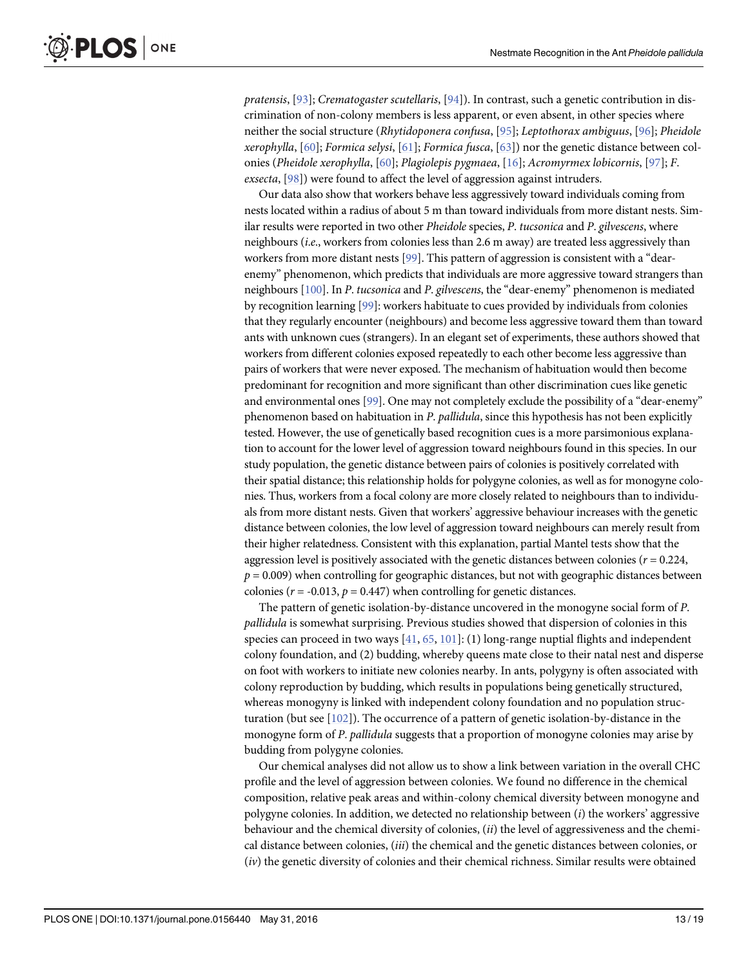<span id="page-12-0"></span>pratensis, [[93](#page-17-0)]; Crematogaster scutellaris, [\[94](#page-17-0)]). In contrast, such a genetic contribution in discrimination of non-colony members is less apparent, or even absent, in other species where neither the social structure (Rhytidoponera confusa, [\[95](#page-17-0)]; Leptothorax ambiguus, [\[96\]](#page-17-0); Pheidole xerophylla,  $[60]$  $[60]$  $[60]$ ; Formica selysi,  $[61]$ ; Formica fusca,  $[63]$ ) nor the genetic distance between colonies (Pheidole xerophylla, [[60](#page-16-0)]; Plagiolepis pygmaea, [[16](#page-14-0)]; Acromyrmex lobicornis, [\[97\]](#page-17-0); F. exsecta,  $[98]$  $[98]$ ) were found to affect the level of aggression against intruders.

Our data also show that workers behave less aggressively toward individuals coming from nests located within a radius of about 5 m than toward individuals from more distant nests. Similar results were reported in two other *Pheidole* species, *P. tucsonica* and *P. gilvescens*, where neighbours (i.e., workers from colonies less than 2.6 m away) are treated less aggressively than workers from more distant nests [\[99\]](#page-17-0). This pattern of aggression is consistent with a "dearenemy" phenomenon, which predicts that individuals are more aggressive toward strangers than neighbours [[100\]](#page-17-0). In P. tucsonica and P. gilvescens, the "dear-enemy" phenomenon is mediated by recognition learning [[99\]](#page-17-0): workers habituate to cues provided by individuals from colonies that they regularly encounter (neighbours) and become less aggressive toward them than toward ants with unknown cues (strangers). In an elegant set of experiments, these authors showed that workers from different colonies exposed repeatedly to each other become less aggressive than pairs of workers that were never exposed. The mechanism of habituation would then become predominant for recognition and more significant than other discrimination cues like genetic and environmental ones [\[99\]](#page-17-0). One may not completely exclude the possibility of a "dear-enemy" phenomenon based on habituation in P. pallidula, since this hypothesis has not been explicitly tested. However, the use of genetically based recognition cues is a more parsimonious explanation to account for the lower level of aggression toward neighbours found in this species. In our study population, the genetic distance between pairs of colonies is positively correlated with their spatial distance; this relationship holds for polygyne colonies, as well as for monogyne colonies. Thus, workers from a focal colony are more closely related to neighbours than to individuals from more distant nests. Given that workers' aggressive behaviour increases with the genetic distance between colonies, the low level of aggression toward neighbours can merely result from their higher relatedness. Consistent with this explanation, partial Mantel tests show that the aggression level is positively associated with the genetic distances between colonies ( $r = 0.224$ ,  $p = 0.009$ ) when controlling for geographic distances, but not with geographic distances between colonies ( $r = -0.013$ ,  $p = 0.447$ ) when controlling for genetic distances.

The pattern of genetic isolation-by-distance uncovered in the monogyne social form of P. pallidula is somewhat surprising. Previous studies showed that dispersion of colonies in this species can proceed in two ways  $[41, 65, 101]$  $[41, 65, 101]$  $[41, 65, 101]$  $[41, 65, 101]$  $[41, 65, 101]$  $[41, 65, 101]$ : (1) long-range nuptial flights and independent colony foundation, and (2) budding, whereby queens mate close to their natal nest and disperse on foot with workers to initiate new colonies nearby. In ants, polygyny is often associated with colony reproduction by budding, which results in populations being genetically structured, whereas monogyny is linked with independent colony foundation and no population structuration (but see [\[102](#page-17-0)]). The occurrence of a pattern of genetic isolation-by-distance in the monogyne form of P. pallidula suggests that a proportion of monogyne colonies may arise by budding from polygyne colonies.

Our chemical analyses did not allow us to show a link between variation in the overall CHC profile and the level of aggression between colonies. We found no difference in the chemical composition, relative peak areas and within-colony chemical diversity between monogyne and polygyne colonies. In addition, we detected no relationship between  $(i)$  the workers' aggressive behaviour and the chemical diversity of colonies, (ii) the level of aggressiveness and the chemical distance between colonies, (iii) the chemical and the genetic distances between colonies, or (iv) the genetic diversity of colonies and their chemical richness. Similar results were obtained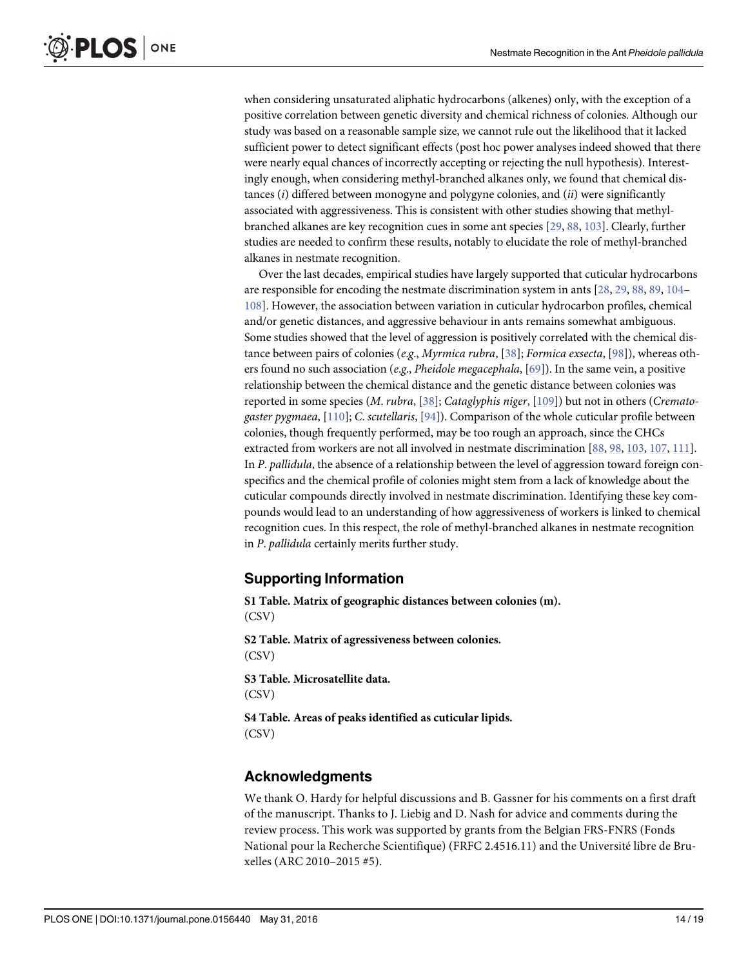<span id="page-13-0"></span>when considering unsaturated aliphatic hydrocarbons (alkenes) only, with the exception of a positive correlation between genetic diversity and chemical richness of colonies. Although our study was based on a reasonable sample size, we cannot rule out the likelihood that it lacked sufficient power to detect significant effects (post hoc power analyses indeed showed that there were nearly equal chances of incorrectly accepting or rejecting the null hypothesis). Interestingly enough, when considering methyl-branched alkanes only, we found that chemical distances  $(i)$  differed between monogyne and polygyne colonies, and  $(ii)$  were significantly associated with aggressiveness. This is consistent with other studies showing that methylbranched alkanes are key recognition cues in some ant species [\[29,](#page-15-0) [88,](#page-17-0) [103\]](#page-18-0). Clearly, further studies are needed to confirm these results, notably to elucidate the role of methyl-branched alkanes in nestmate recognition.

Over the last decades, empirical studies have largely supported that cuticular hydrocarbons are responsible for encoding the nestmate discrimination system in ants [[28](#page-15-0), [29](#page-15-0), [88](#page-17-0), [89](#page-17-0), [104](#page-18-0)– [108](#page-18-0)]. However, the association between variation in cuticular hydrocarbon profiles, chemical and/or genetic distances, and aggressive behaviour in ants remains somewhat ambiguous. Some studies showed that the level of aggression is positively correlated with the chemical distance between pairs of colonies (e.g., *Myrmica rubra*, [[38](#page-15-0)]; Formica exsecta, [\[98\]](#page-17-0)), whereas others found no such association (e.g., Pheidole megacephala,  $[69]$ ). In the same vein, a positive relationship between the chemical distance and the genetic distance between colonies was reported in some species (M. rubra, [\[38\]](#page-15-0); Cataglyphis niger, [\[109\]](#page-18-0)) but not in others (Cremato-gaster pygmaea, [\[110](#page-18-0)]; C. scutellaris, [\[94](#page-17-0)]). Comparison of the whole cuticular profile between colonies, though frequently performed, may be too rough an approach, since the CHCs extracted from workers are not all involved in nestmate discrimination [\[88,](#page-17-0) [98,](#page-17-0) [103](#page-18-0), [107](#page-18-0), [111\]](#page-18-0). In P. pallidula, the absence of a relationship between the level of aggression toward foreign conspecifics and the chemical profile of colonies might stem from a lack of knowledge about the cuticular compounds directly involved in nestmate discrimination. Identifying these key compounds would lead to an understanding of how aggressiveness of workers is linked to chemical recognition cues. In this respect, the role of methyl-branched alkanes in nestmate recognition in P. pallidula certainly merits further study.

# Supporting Information

[S1 Table](http://www.plosone.org/article/fetchSingleRepresentation.action?uri=info:doi/10.1371/journal.pone.0156440.s001). Matrix of geographic distances between colonies (m). (CSV) [S2 Table](http://www.plosone.org/article/fetchSingleRepresentation.action?uri=info:doi/10.1371/journal.pone.0156440.s002). Matrix of agressiveness between colonies. (CSV)

[S3 Table](http://www.plosone.org/article/fetchSingleRepresentation.action?uri=info:doi/10.1371/journal.pone.0156440.s003). Microsatellite data. (CSV)

[S4 Table](http://www.plosone.org/article/fetchSingleRepresentation.action?uri=info:doi/10.1371/journal.pone.0156440.s004). Areas of peaks identified as cuticular lipids. (CSV)

# Acknowledgments

We thank O. Hardy for helpful discussions and B. Gassner for his comments on a first draft of the manuscript. Thanks to J. Liebig and D. Nash for advice and comments during the review process. This work was supported by grants from the Belgian FRS-FNRS (Fonds National pour la Recherche Scientifique) (FRFC 2.4516.11) and the Université libre de Bruxelles (ARC 2010–2015 #5).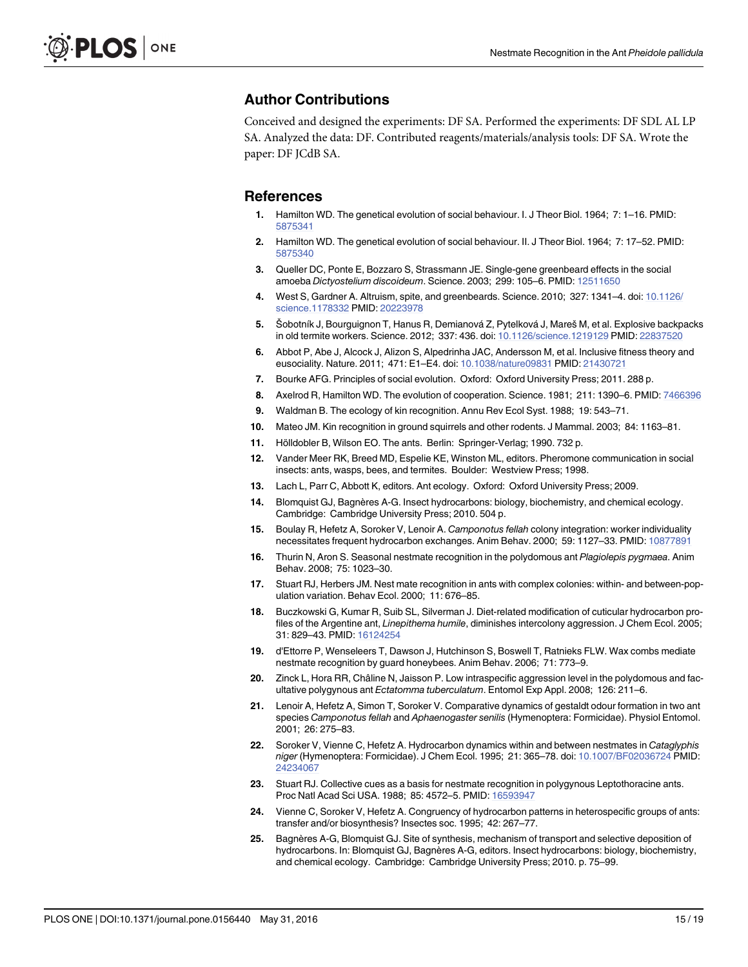### <span id="page-14-0"></span>Author Contributions

Conceived and designed the experiments: DF SA. Performed the experiments: DF SDL AL LP SA. Analyzed the data: DF. Contributed reagents/materials/analysis tools: DF SA. Wrote the paper: DF JCdB SA.

#### References

- [1.](#page-1-0) Hamilton WD. The genetical evolution of social behaviour. I. J Theor Biol. 1964; 7: 1–16. PMID: [5875341](http://www.ncbi.nlm.nih.gov/pubmed/5875341)
- [2.](#page-1-0) Hamilton WD. The genetical evolution of social behaviour. II. J Theor Biol. 1964; 7: 17–52. PMID: [5875340](http://www.ncbi.nlm.nih.gov/pubmed/5875340)
- [3.](#page-1-0) Queller DC, Ponte E, Bozzaro S, Strassmann JE. Single-gene greenbeard effects in the social amoeba Dictyostelium discoideum. Science. 2003; 299: 105–6. PMID: [12511650](http://www.ncbi.nlm.nih.gov/pubmed/12511650)
- 4. West S, Gardner A. Altruism, spite, and greenbeards. Science. 2010; 327: 1341–4. doi: [10.1126/](http://dx.doi.org/10.1126/science.1178332) [science.1178332](http://dx.doi.org/10.1126/science.1178332) PMID: [20223978](http://www.ncbi.nlm.nih.gov/pubmed/20223978)
- 5. Šobotník J, Bourguignon T, Hanus R, Demianová Z, Pytelková J, Mareš M, et al. Explosive backpacks in old termite workers. Science. 2012; 337: 436. doi: [10.1126/science.1219129](http://dx.doi.org/10.1126/science.1219129) PMID: [22837520](http://www.ncbi.nlm.nih.gov/pubmed/22837520)
- 6. Abbot P, Abe J, Alcock J, Alizon S, Alpedrinha JAC, Andersson M, et al. Inclusive fitness theory and eusociality. Nature. 2011; 471: E1–E4. doi: [10.1038/nature09831](http://dx.doi.org/10.1038/nature09831) PMID: [21430721](http://www.ncbi.nlm.nih.gov/pubmed/21430721)
- [7.](#page-1-0) Bourke AFG. Principles of social evolution. Oxford: Oxford University Press; 2011. 288 p.
- [8.](#page-1-0) Axelrod R, Hamilton WD. The evolution of cooperation. Science. 1981; 211: 1390-6. PMID: [7466396](http://www.ncbi.nlm.nih.gov/pubmed/7466396)
- [9.](#page-1-0) Waldman B. The ecology of kin recognition. Annu Rev Ecol Syst. 1988; 19: 543–71.
- [10.](#page-1-0) Mateo JM. Kin recognition in ground squirrels and other rodents. J Mammal. 2003; 84: 1163–81.
- [11.](#page-1-0) Hölldobler B, Wilson EO. The ants. Berlin: Springer-Verlag; 1990. 732 p.
- [12.](#page-1-0) Vander Meer RK, Breed MD, Espelie KE, Winston ML, editors. Pheromone communication in social insects: ants, wasps, bees, and termites. Boulder: Westview Press; 1998.
- [13.](#page-1-0) Lach L, Parr C, Abbott K, editors. Ant ecology. Oxford: Oxford University Press; 2009.
- [14.](#page-1-0) Blomquist GJ, Bagnères A-G. Insect hydrocarbons: biology, biochemistry, and chemical ecology. Cambridge: Cambridge University Press; 2010. 504 p.
- [15.](#page-1-0) Boulay R, Hefetz A, Soroker V, Lenoir A. Camponotus fellah colony integration: worker individuality necessitates frequent hydrocarbon exchanges. Anim Behav. 2000; 59: 1127–33. PMID: [10877891](http://www.ncbi.nlm.nih.gov/pubmed/10877891)
- [16.](#page-12-0) Thurin N, Aron S. Seasonal nestmate recognition in the polydomous ant Plagiolepis pygmaea. Anim Behav. 2008; 75: 1023–30.
- [17.](#page-1-0) Stuart RJ, Herbers JM. Nest mate recognition in ants with complex colonies: within- and between-population variation. Behav Ecol. 2000; 11: 676–85.
- [18.](#page-1-0) Buczkowski G, Kumar R, Suib SL, Silverman J. Diet-related modification of cuticular hydrocarbon profiles of the Argentine ant, Linepithema humile, diminishes intercolony aggression. J Chem Ecol. 2005; 31: 829–43. PMID: [16124254](http://www.ncbi.nlm.nih.gov/pubmed/16124254)
- [19.](#page-1-0) d'Ettorre P, Wenseleers T, Dawson J, Hutchinson S, Boswell T, Ratnieks FLW. Wax combs mediate nestmate recognition by guard honeybees. Anim Behav. 2006; 71: 773–9.
- [20.](#page-1-0) Zinck L, Hora RR, Châline N, Jaisson P. Low intraspecific aggression level in the polydomous and facultative polygynous ant Ectatomma tuberculatum. Entomol Exp Appl. 2008; 126: 211–6.
- [21.](#page-1-0) Lenoir A, Hefetz A, Simon T, Soroker V. Comparative dynamics of gestaldt odour formation in two ant species Camponotus fellah and Aphaenogaster senilis (Hymenoptera: Formicidae). Physiol Entomol. 2001; 26: 275–83.
- 22. Soroker V, Vienne C, Hefetz A. Hydrocarbon dynamics within and between nestmates in Cataglyphis niger (Hymenoptera: Formicidae). J Chem Ecol. 1995; 21: 365–78. doi: [10.1007/BF02036724](http://dx.doi.org/10.1007/BF02036724) PMID: [24234067](http://www.ncbi.nlm.nih.gov/pubmed/24234067)
- [23.](#page-2-0) Stuart RJ. Collective cues as a basis for nestmate recognition in polygynous Leptothoracine ants. Proc Natl Acad Sci USA. 1988; 85: 4572–5. PMID: [16593947](http://www.ncbi.nlm.nih.gov/pubmed/16593947)
- 24. Vienne C, Soroker V, Hefetz A. Congruency of hydrocarbon patterns in heterospecific groups of ants: transfer and/or biosynthesis? Insectes soc. 1995; 42: 267–77.
- [25.](#page-1-0) Bagnères A-G, Blomquist GJ. Site of synthesis, mechanism of transport and selective deposition of hydrocarbons. In: Blomquist GJ, Bagnères A-G, editors. Insect hydrocarbons: biology, biochemistry, and chemical ecology. Cambridge: Cambridge University Press; 2010. p. 75–99.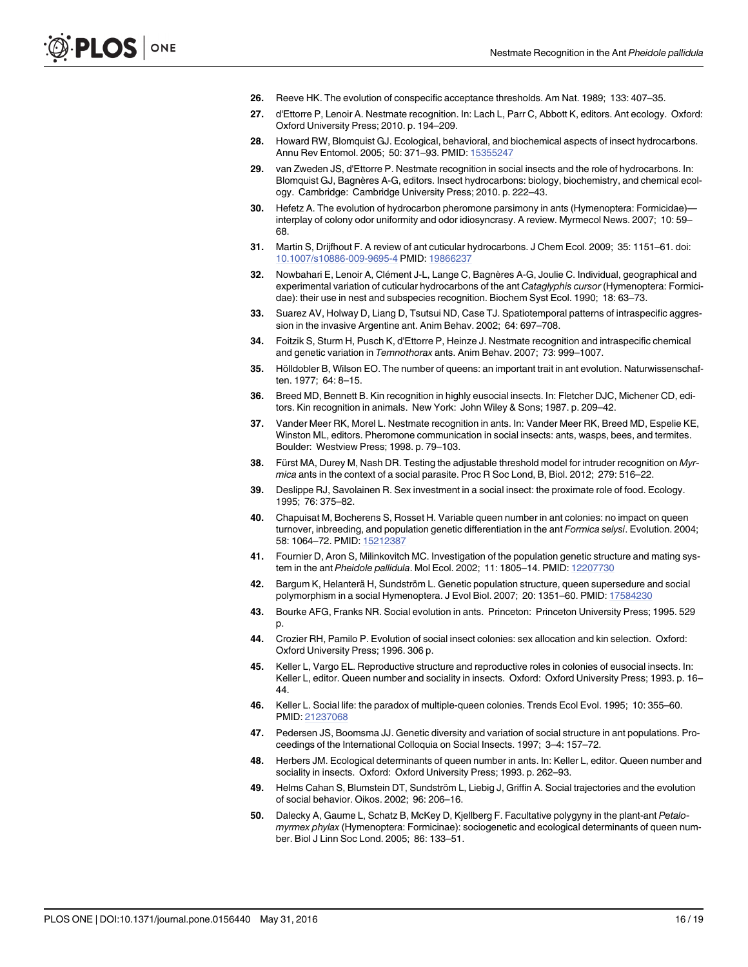- <span id="page-15-0"></span>[26.](#page-1-0) Reeve HK. The evolution of conspecific acceptance thresholds. Am Nat. 1989; 133: 407–35.
- [27.](#page-1-0) d'Ettorre P, Lenoir A. Nestmate recognition. In: Lach L, Parr C, Abbott K, editors. Ant ecology. Oxford: Oxford University Press; 2010. p. 194–209.
- [28.](#page-13-0) Howard RW, Blomquist GJ. Ecological, behavioral, and biochemical aspects of insect hydrocarbons. Annu Rev Entomol. 2005; 50: 371-93. PMID: [15355247](http://www.ncbi.nlm.nih.gov/pubmed/15355247)
- [29.](#page-1-0) van Zweden JS, d'Ettorre P. Nestmate recognition in social insects and the role of hydrocarbons. In: Blomquist GJ, Bagnères A-G, editors. Insect hydrocarbons: biology, biochemistry, and chemical ecology. Cambridge: Cambridge University Press; 2010. p. 222–43.
- [30.](#page-1-0) Hefetz A. The evolution of hydrocarbon pheromone parsimony in ants (Hymenoptera: Formicidae) interplay of colony odor uniformity and odor idiosyncrasy. A review. Myrmecol News. 2007; 10: 59– 68.
- [31.](#page-1-0) Martin S, Drijfhout F. A review of ant cuticular hydrocarbons. J Chem Ecol. 2009; 35: 1151–61. doi: [10.1007/s10886-009-9695-4](http://dx.doi.org/10.1007/s10886-009-9695-4) PMID: [19866237](http://www.ncbi.nlm.nih.gov/pubmed/19866237)
- [32.](#page-1-0) Nowbahari E, Lenoir A, Clément J-L, Lange C, Bagnères A-G, Joulie C. Individual, geographical and experimental variation of cuticular hydrocarbons of the ant Cataglyphis cursor (Hymenoptera: Formicidae): their use in nest and subspecies recognition. Biochem Syst Ecol. 1990; 18: 63–73.
- 33. Suarez AV, Holway D, Liang D, Tsutsui ND, Case TJ. Spatiotemporal patterns of intraspecific aggression in the invasive Argentine ant. Anim Behav. 2002; 64: 697–708.
- [34.](#page-1-0) Foitzik S, Sturm H, Pusch K, d'Ettorre P, Heinze J. Nestmate recognition and intraspecific chemical and genetic variation in Temnothorax ants. Anim Behav. 2007; 73: 999–1007.
- [35.](#page-1-0) Hölldobler B, Wilson EO. The number of queens: an important trait in ant evolution. Naturwissenschaften. 1977; 64: 8–15.
- 36. Breed MD, Bennett B. Kin recognition in highly eusocial insects. In: Fletcher DJC, Michener CD, editors. Kin recognition in animals. New York: John Wiley & Sons; 1987. p. 209–42.
- [37.](#page-1-0) Vander Meer RK, Morel L. Nestmate recognition in ants. In: Vander Meer RK, Breed MD, Espelie KE, Winston ML, editors. Pheromone communication in social insects: ants, wasps, bees, and termites. Boulder: Westview Press; 1998. p. 79–103.
- [38.](#page-1-0) Fürst MA, Durey M, Nash DR. Testing the adjustable threshold model for intruder recognition on Myrmica ants in the context of a social parasite. Proc R Soc Lond, B, Biol. 2012; 279: 516–22.
- [39.](#page-1-0) Deslippe RJ, Savolainen R. Sex investment in a social insect: the proximate role of food. Ecology. 1995; 76: 375–82.
- 40. Chapuisat M, Bocherens S, Rosset H. Variable queen number in ant colonies: no impact on queen turnover, inbreeding, and population genetic differentiation in the ant Formica selysi. Evolution. 2004; 58: 1064–72. PMID: [15212387](http://www.ncbi.nlm.nih.gov/pubmed/15212387)
- [41.](#page-2-0) Fournier D, Aron S, Milinkovitch MC. Investigation of the population genetic structure and mating system in the ant Pheidole pallidula. Mol Ecol. 2002; 11: 1805–14. PMID: [12207730](http://www.ncbi.nlm.nih.gov/pubmed/12207730)
- [42.](#page-1-0) Bargum K, Helanterä H, Sundström L. Genetic population structure, queen supersedure and social polymorphism in a social Hymenoptera. J Evol Biol. 2007; 20: 1351–60. PMID: [17584230](http://www.ncbi.nlm.nih.gov/pubmed/17584230)
- [43.](#page-1-0) Bourke AFG, Franks NR. Social evolution in ants. Princeton: Princeton University Press; 1995. 529 p.
- [44.](#page-1-0) Crozier RH, Pamilo P. Evolution of social insect colonies: sex allocation and kin selection. Oxford: Oxford University Press; 1996. 306 p.
- 45. Keller L, Vargo EL. Reproductive structure and reproductive roles in colonies of eusocial insects. In: Keller L, editor. Queen number and sociality in insects. Oxford: Oxford University Press; 1993. p. 16– 44.
- [46.](#page-1-0) Keller L. Social life: the paradox of multiple-queen colonies. Trends Ecol Evol. 1995; 10: 355–60. PMID: [21237068](http://www.ncbi.nlm.nih.gov/pubmed/21237068)
- 47. Pedersen JS, Boomsma JJ. Genetic diversity and variation of social structure in ant populations. Proceedings of the International Colloquia on Social Insects. 1997; 3–4: 157–72.
- 48. Herbers JM. Ecological determinants of queen number in ants. In: Keller L, editor. Queen number and sociality in insects. Oxford: Oxford University Press; 1993. p. 262–93.
- 49. Helms Cahan S, Blumstein DT, Sundström L, Liebig J, Griffin A. Social trajectories and the evolution of social behavior. Oikos. 2002; 96: 206–16.
- 50. Dalecky A, Gaume L, Schatz B, McKey D, Kjellberg F. Facultative polygyny in the plant-ant Petalomyrmex phylax (Hymenoptera: Formicinae): sociogenetic and ecological determinants of queen number. Biol J Linn Soc Lond. 2005; 86: 133–51.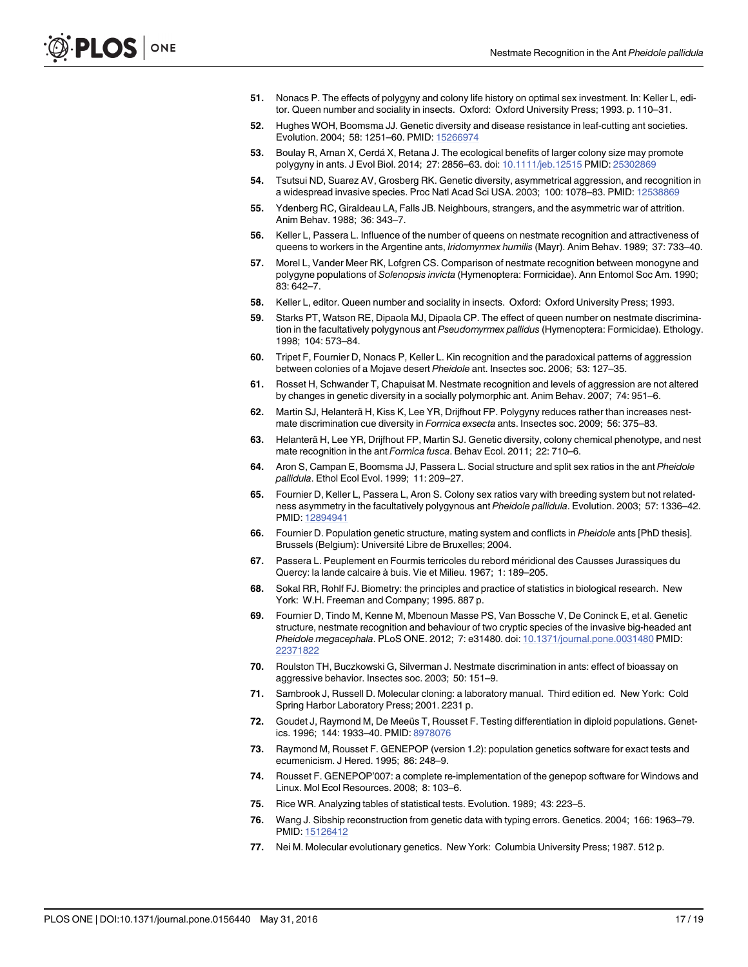- <span id="page-16-0"></span>51. Nonacs P. The effects of polygyny and colony life history on optimal sex investment. In: Keller L, editor. Queen number and sociality in insects. Oxford: Oxford University Press; 1993. p. 110–31.
- 52. Hughes WOH, Boomsma JJ. Genetic diversity and disease resistance in leaf-cutting ant societies. Evolution. 2004; 58: 1251–60. PMID: [15266974](http://www.ncbi.nlm.nih.gov/pubmed/15266974)
- [53.](#page-1-0) Boulay R, Arnan X, Cerdá X, Retana J. The ecological benefits of larger colony size may promote polygyny in ants. J Evol Biol. 2014; 27: 2856–63. doi: [10.1111/jeb.12515](http://dx.doi.org/10.1111/jeb.12515) PMID: [25302869](http://www.ncbi.nlm.nih.gov/pubmed/25302869)
- [54.](#page-2-0) Tsutsui ND, Suarez AV, Grosberg RK. Genetic diversity, asymmetrical aggression, and recognition in a widespread invasive species. Proc Natl Acad Sci USA. 2003; 100: 1078–83. PMID: [12538869](http://www.ncbi.nlm.nih.gov/pubmed/12538869)
- [55.](#page-2-0) Ydenberg RC, Giraldeau LA, Falls JB. Neighbours, strangers, and the asymmetric war of attrition. Anim Behav. 1988; 36: 343–7.
- [56.](#page-2-0) Keller L, Passera L. Influence of the number of queens on nestmate recognition and attractiveness of queens to workers in the Argentine ants, Iridomyrmex humilis (Mayr). Anim Behav. 1989; 37: 733-40.
- [57.](#page-11-0) Morel L, Vander Meer RK, Lofgren CS. Comparison of nestmate recognition between monogyne and polygyne populations of Solenopsis invicta (Hymenoptera: Formicidae). Ann Entomol Soc Am. 1990; 83: 642–7.
- 58. Keller L, editor. Queen number and sociality in insects. Oxford: Oxford University Press; 1993.
- [59.](#page-2-0) Starks PT, Watson RE, Dipaola MJ, Dipaola CP. The effect of queen number on nestmate discrimination in the facultatively polygynous ant Pseudomyrmex pallidus (Hymenoptera: Formicidae). Ethology. 1998; 104: 573–84.
- [60.](#page-2-0) Tripet F, Fournier D, Nonacs P, Keller L. Kin recognition and the paradoxical patterns of aggression between colonies of a Mojave desert Pheidole ant. Insectes soc. 2006; 53: 127–35.
- [61.](#page-12-0) Rosset H, Schwander T, Chapuisat M. Nestmate recognition and levels of aggression are not altered by changes in genetic diversity in a socially polymorphic ant. Anim Behav. 2007; 74: 951–6.
- 62. Martin SJ, Helanterä H, Kiss K, Lee YR, Drijfhout FP. Polygyny reduces rather than increases nestmate discrimination cue diversity in Formica exsecta ants. Insectes soc. 2009; 56: 375–83.
- [63.](#page-2-0) Helanterä H, Lee YR, Drijfhout FP, Martin SJ. Genetic diversity, colony chemical phenotype, and nest mate recognition in the ant Formica fusca. Behav Ecol. 2011; 22: 710–6.
- [64.](#page-2-0) Aron S, Campan E, Boomsma JJ, Passera L. Social structure and split sex ratios in the ant Pheidole pallidula. Ethol Ecol Evol. 1999; 11: 209–27.
- [65.](#page-2-0) Fournier D, Keller L, Passera L, Aron S. Colony sex ratios vary with breeding system but not relatedness asymmetry in the facultatively polygynous ant Pheidole pallidula. Evolution. 2003; 57: 1336–42. PMID: [12894941](http://www.ncbi.nlm.nih.gov/pubmed/12894941)
- [66.](#page-2-0) Fournier D. Population genetic structure, mating system and conflicts in Pheidole ants [PhD thesis]. Brussels (Belgium): Université Libre de Bruxelles; 2004.
- [67.](#page-2-0) Passera L. Peuplement en Fourmis terricoles du rebord méridional des Causses Jurassiques du Quercy: la lande calcaire à buis. Vie et Milieu. 1967; 1: 189–205.
- [68.](#page-4-0) Sokal RR, Rohlf FJ. Biometry: the principles and practice of statistics in biological research. New York: W.H. Freeman and Company; 1995. 887 p.
- [69.](#page-4-0) Fournier D, Tindo M, Kenne M, Mbenoun Masse PS, Van Bossche V, De Coninck E, et al. Genetic structure, nestmate recognition and behaviour of two cryptic species of the invasive big-headed ant Pheidole megacephala. PLoS ONE. 2012; 7: e31480. doi: [10.1371/journal.pone.0031480](http://dx.doi.org/10.1371/journal.pone.0031480) PMID: [22371822](http://www.ncbi.nlm.nih.gov/pubmed/22371822)
- [70.](#page-4-0) Roulston TH, Buczkowski G, Silverman J. Nestmate discrimination in ants: effect of bioassay on aggressive behavior. Insectes soc. 2003; 50: 151–9.
- [71.](#page-4-0) Sambrook J, Russell D. Molecular cloning: a laboratory manual. Third edition ed. New York: Cold Spring Harbor Laboratory Press; 2001. 2231 p.
- [72.](#page-4-0) Goudet J, Raymond M, De Meeüs T, Rousset F. Testing differentiation in diploid populations. Genet-ics. 1996; 144: 1933-40. PMID: [8978076](http://www.ncbi.nlm.nih.gov/pubmed/8978076)
- [73.](#page-4-0) Raymond M, Rousset F. GENEPOP (version 1.2): population genetics software for exact tests and ecumenicism. J Hered. 1995; 86: 248–9.
- [74.](#page-4-0) Rousset F. GENEPOP'007: a complete re-implementation of the genepop software for Windows and Linux. Mol Ecol Resources. 2008; 8: 103–6.
- [75.](#page-5-0) Rice WR. Analyzing tables of statistical tests. Evolution. 1989; 43: 223–5.
- [76.](#page-5-0) Wang J. Sibship reconstruction from genetic data with typing errors. Genetics. 2004; 166: 1963–79. PMID: [15126412](http://www.ncbi.nlm.nih.gov/pubmed/15126412)
- [77.](#page-5-0) Nei M. Molecular evolutionary genetics. New York: Columbia University Press; 1987. 512 p.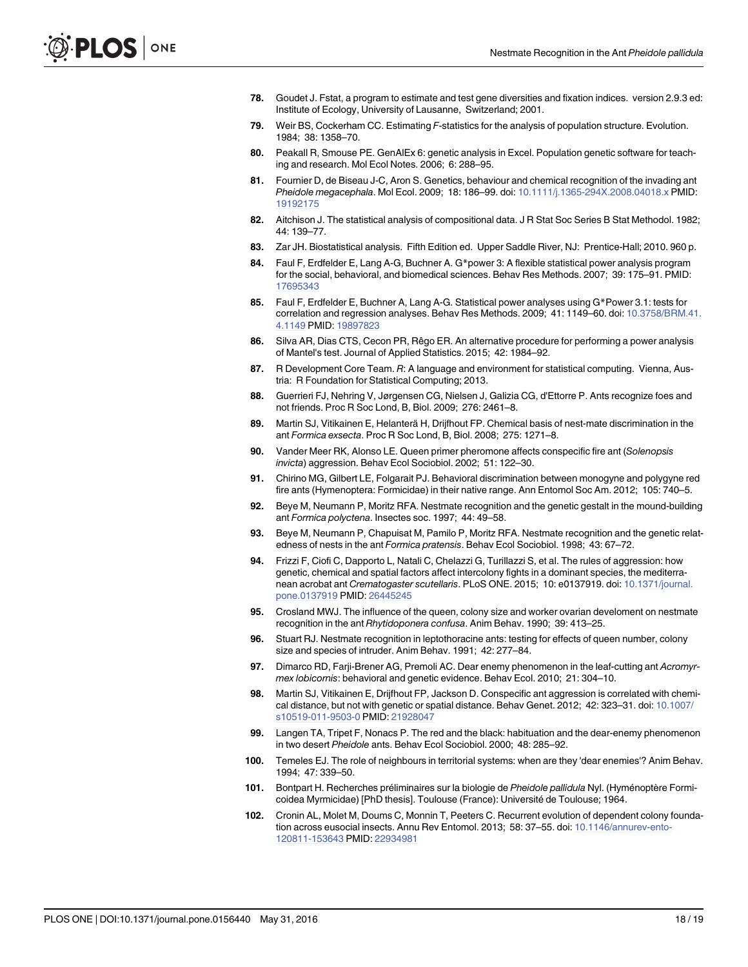- <span id="page-17-0"></span>[78.](#page-5-0) Goudet J. Fstat, a program to estimate and test gene diversities and fixation indices. version 2.9.3 ed: Institute of Ecology, University of Lausanne, Switzerland; 2001.
- [79.](#page-5-0) Weir BS, Cockerham CC. Estimating F-statistics for the analysis of population structure. Evolution. 1984; 38: 1358–70.
- [80.](#page-5-0) Peakall R, Smouse PE. GenAlEx 6: genetic analysis in Excel. Population genetic software for teaching and research. Mol Ecol Notes. 2006; 6: 288–95.
- [81.](#page-5-0) Fournier D, de Biseau J-C, Aron S. Genetics, behaviour and chemical recognition of the invading ant Pheidole megacephala. Mol Ecol. 2009; 18: 186-99. doi: [10.1111/j.1365-294X.2008.04018.x](http://dx.doi.org/10.1111/j.1365-294X.2008.04018.x) PMID: [19192175](http://www.ncbi.nlm.nih.gov/pubmed/19192175)
- [82.](#page-5-0) Aitchison J. The statistical analysis of compositional data. J R Stat Soc Series B Stat Methodol. 1982; 44: 139–77.
- [83.](#page-6-0) Zar JH. Biostatistical analysis. Fifth Edition ed. Upper Saddle River, NJ: Prentice-Hall; 2010. 960 p.
- [84.](#page-6-0) Faul F, Erdfelder E, Lang A-G, Buchner A. G\*power 3: A flexible statistical power analysis program for the social, behavioral, and biomedical sciences. Behav Res Methods. 2007; 39: 175–91. PMID: [17695343](http://www.ncbi.nlm.nih.gov/pubmed/17695343)
- [85.](#page-6-0) Faul F, Erdfelder E, Buchner A, Lang A-G. Statistical power analyses using G\*Power 3.1: tests for correlation and regression analyses. Behav Res Methods. 2009; 41: 1149–60. doi: [10.3758/BRM.41.](http://dx.doi.org/10.3758/BRM.41.4.1149) [4.1149](http://dx.doi.org/10.3758/BRM.41.4.1149) PMID: [19897823](http://www.ncbi.nlm.nih.gov/pubmed/19897823)
- [86.](#page-6-0) Silva AR, Dias CTS, Cecon PR, Rêgo ER. An alternative procedure for performing a power analysis of Mantel's test. Journal of Applied Statistics. 2015; 42: 1984–92.
- [87.](#page-6-0) R Development Core Team. R: A language and environment for statistical computing. Vienna, Austria: R Foundation for Statistical Computing; 2013.
- [88.](#page-9-0) Guerrieri FJ, Nehring V, Jørgensen CG, Nielsen J, Galizia CG, d'Ettorre P. Ants recognize foes and not friends. Proc R Soc Lond, B, Biol. 2009; 276: 2461–8.
- [89.](#page-9-0) Martin SJ, Vitikainen E, Helanterä H, Drijfhout FP. Chemical basis of nest-mate discrimination in the ant Formica exsecta. Proc R Soc Lond, B, Biol. 2008; 275: 1271–8.
- [90.](#page-11-0) Vander Meer RK, Alonso LE. Queen primer pheromone affects conspecific fire ant (Solenopsis invicta) aggression. Behav Ecol Sociobiol. 2002; 51: 122–30.
- [91.](#page-11-0) Chirino MG, Gilbert LE, Folgarait PJ. Behavioral discrimination between monogyne and polygyne red fire ants (Hymenoptera: Formicidae) in their native range. Ann Entomol Soc Am. 2012; 105: 740–5.
- [92.](#page-11-0) Beye M, Neumann P, Moritz RFA. Nestmate recognition and the genetic gestalt in the mound-building ant Formica polyctena. Insectes soc. 1997; 44: 49–58.
- [93.](#page-12-0) Beye M, Neumann P, Chapuisat M, Pamilo P, Moritz RFA. Nestmate recognition and the genetic relatedness of nests in the ant Formica pratensis. Behav Ecol Sociobiol. 1998; 43: 67–72.
- [94.](#page-12-0) Frizzi F, Ciofi C, Dapporto L, Natali C, Chelazzi G, Turillazzi S, et al. The rules of aggression: how genetic, chemical and spatial factors affect intercolony fights in a dominant species, the mediterranean acrobat ant Crematogaster scutellaris. PLoS ONE. 2015; 10: e0137919. doi: [10.1371/journal.](http://dx.doi.org/10.1371/journal.pone.0137919) [pone.0137919](http://dx.doi.org/10.1371/journal.pone.0137919) PMID: [26445245](http://www.ncbi.nlm.nih.gov/pubmed/26445245)
- [95.](#page-12-0) Crosland MWJ. The influence of the queen, colony size and worker ovarian develoment on nestmate recognition in the ant Rhytidoponera confusa. Anim Behav. 1990; 39: 413–25.
- [96.](#page-12-0) Stuart RJ. Nestmate recognition in leptothoracine ants: testing for effects of queen number, colony size and species of intruder. Anim Behav. 1991; 42: 277–84.
- [97.](#page-12-0) Dimarco RD, Farji-Brener AG, Premoli AC. Dear enemy phenomenon in the leaf-cutting ant Acromyrmex lobicornis: behavioral and genetic evidence. Behav Ecol. 2010; 21: 304–10.
- [98.](#page-12-0) Martin SJ, Vitikainen E, Drijfhout FP, Jackson D. Conspecific ant aggression is correlated with chemical distance, but not with genetic or spatial distance. Behav Genet. 2012; 42: 323–31. doi: [10.1007/](http://dx.doi.org/10.1007/s10519-011-9503-0) [s10519-011-9503-0](http://dx.doi.org/10.1007/s10519-011-9503-0) PMID: [21928047](http://www.ncbi.nlm.nih.gov/pubmed/21928047)
- [99.](#page-12-0) Langen TA, Tripet F, Nonacs P. The red and the black: habituation and the dear-enemy phenomenon in two desert Pheidole ants. Behav Ecol Sociobiol. 2000; 48: 285–92.
- [100.](#page-12-0) Temeles EJ. The role of neighbours in territorial systems: when are they 'dear enemies'? Anim Behav. 1994; 47: 339–50.
- [101.](#page-12-0) Bontpart H. Recherches préliminaires sur la biologie de Pheidole pallidula Nyl. (Hyménoptère Formicoidea Myrmicidae) [PhD thesis]. Toulouse (France): Université de Toulouse; 1964.
- [102.](#page-12-0) Cronin AL, Molet M, Doums C, Monnin T, Peeters C. Recurrent evolution of dependent colony foundation across eusocial insects. Annu Rev Entomol. 2013; 58: 37–55. doi: [10.1146/annurev-ento-](http://dx.doi.org/10.1146/annurev-ento-120811-153643)[120811-153643](http://dx.doi.org/10.1146/annurev-ento-120811-153643) PMID: [22934981](http://www.ncbi.nlm.nih.gov/pubmed/22934981)